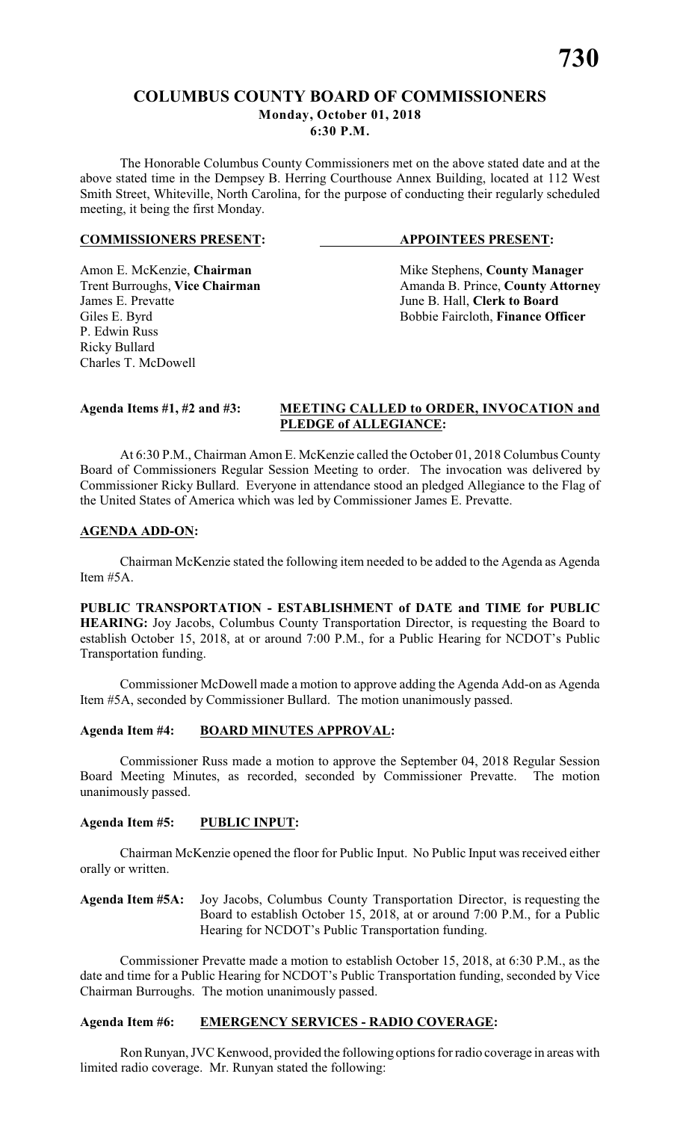# **COLUMBUS COUNTY BOARD OF COMMISSIONERS Monday, October 01, 2018 6:30 P.M.**

The Honorable Columbus County Commissioners met on the above stated date and at the above stated time in the Dempsey B. Herring Courthouse Annex Building, located at 112 West Smith Street, Whiteville, North Carolina, for the purpose of conducting their regularly scheduled meeting, it being the first Monday.

### **COMMISSIONERS PRESENT: APPOINTEES PRESENT:**

P. Edwin Russ Ricky Bullard Charles T. McDowell

Amon E. McKenzie, **Chairman** Mike Stephens, **County Manager** Trent Burroughs, **Vice Chairman** Amanda B. Prince, **County Attorney**<br>James E. Prevatte June B. Hall, **Clerk to Board** June B. Hall, **Clerk to Board** Giles E. Byrd Bobbie Faircloth, **Finance Officer** 

# **Agenda Items #1, #2 and #3: MEETING CALLED to ORDER, INVOCATION and PLEDGE of ALLEGIANCE:**

At 6:30 P.M., Chairman Amon E. McKenzie called the October 01, 2018 Columbus County Board of Commissioners Regular Session Meeting to order. The invocation was delivered by Commissioner Ricky Bullard. Everyone in attendance stood an pledged Allegiance to the Flag of the United States of America which was led by Commissioner James E. Prevatte.

# **AGENDA ADD-ON:**

Chairman McKenzie stated the following item needed to be added to the Agenda as Agenda Item #5A.

**PUBLIC TRANSPORTATION - ESTABLISHMENT of DATE and TIME for PUBLIC HEARING:** Joy Jacobs, Columbus County Transportation Director, is requesting the Board to establish October 15, 2018, at or around 7:00 P.M., for a Public Hearing for NCDOT's Public Transportation funding.

Commissioner McDowell made a motion to approve adding the Agenda Add-on as Agenda Item #5A, seconded by Commissioner Bullard. The motion unanimously passed.

# **Agenda Item #4: BOARD MINUTES APPROVAL:**

Commissioner Russ made a motion to approve the September 04, 2018 Regular Session Board Meeting Minutes, as recorded, seconded by Commissioner Prevatte. The motion unanimously passed.

# **Agenda Item #5: PUBLIC INPUT:**

Chairman McKenzie opened the floor for Public Input. No Public Input was received either orally or written.

**Agenda Item #5A:** Joy Jacobs, Columbus County Transportation Director, is requesting the Board to establish October 15, 2018, at or around 7:00 P.M., for a Public Hearing for NCDOT's Public Transportation funding.

Commissioner Prevatte made a motion to establish October 15, 2018, at 6:30 P.M., as the date and time for a Public Hearing for NCDOT's Public Transportation funding, seconded by Vice Chairman Burroughs. The motion unanimously passed.

# **Agenda Item #6: EMERGENCY SERVICES - RADIO COVERAGE:**

Ron Runyan, JVC Kenwood, provided the following options for radio coverage in areas with limited radio coverage. Mr. Runyan stated the following: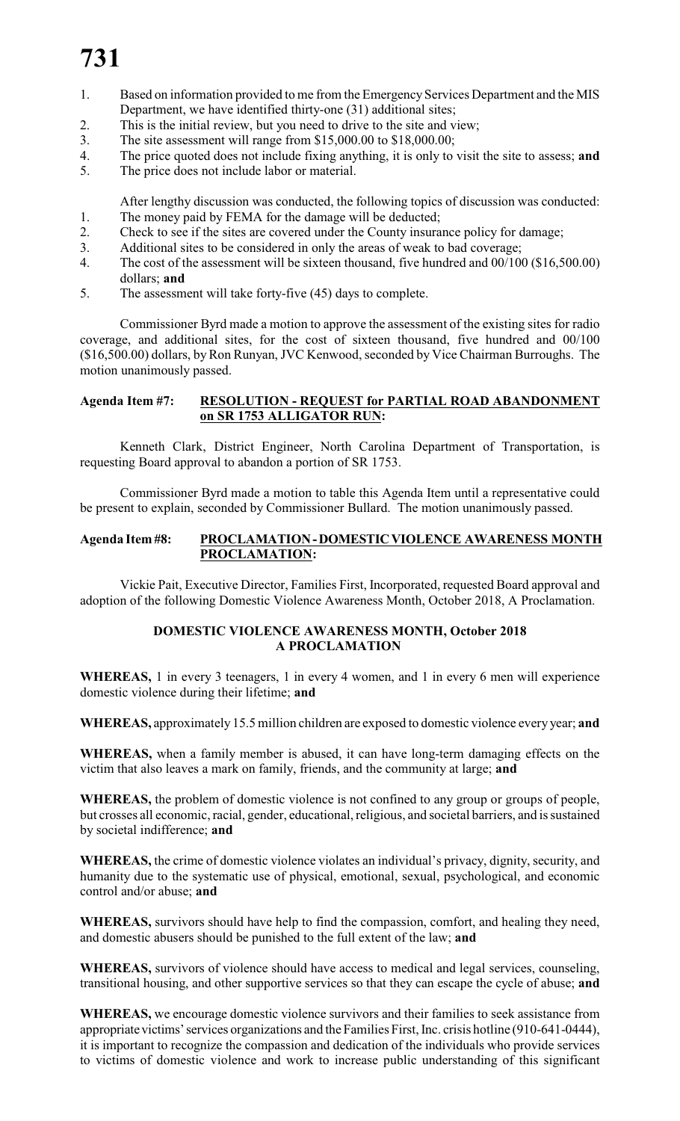- 1. Based on information provided to me from the Emergency Services Department and the MIS Department, we have identified thirty-one (31) additional sites;
- 2. This is the initial review, but you need to drive to the site and view;
- 3. The site assessment will range from \$15,000.00 to \$18,000.00;
- 4. The price quoted does not include fixing anything, it is only to visit the site to assess; **and**
- 5. The price does not include labor or material.

After lengthy discussion was conducted, the following topics of discussion was conducted: 1. The money paid by FEMA for the damage will be deducted;

- 2. Check to see if the sites are covered under the County insurance policy for damage;
- 3. Additional sites to be considered in only the areas of weak to bad coverage;
- 4. The cost of the assessment will be sixteen thousand, five hundred and 00/100 (\$16,500.00) dollars; **and**
- 5. The assessment will take forty-five (45) days to complete.

Commissioner Byrd made a motion to approve the assessment of the existing sites for radio coverage, and additional sites, for the cost of sixteen thousand, five hundred and 00/100 (\$16,500.00) dollars, by Ron Runyan, JVC Kenwood, seconded by Vice Chairman Burroughs. The motion unanimously passed.

# **Agenda Item #7: RESOLUTION - REQUEST for PARTIAL ROAD ABANDONMENT on SR 1753 ALLIGATOR RUN:**

Kenneth Clark, District Engineer, North Carolina Department of Transportation, is requesting Board approval to abandon a portion of SR 1753.

Commissioner Byrd made a motion to table this Agenda Item until a representative could be present to explain, seconded by Commissioner Bullard. The motion unanimously passed.

# **Agenda Item #8: PROCLAMATION - DOMESTIC VIOLENCE AWARENESS MONTH PROCLAMATION:**

Vickie Pait, Executive Director, Families First, Incorporated, requested Board approval and adoption of the following Domestic Violence Awareness Month, October 2018, A Proclamation.

# **DOMESTIC VIOLENCE AWARENESS MONTH, October 2018 A PROCLAMATION**

**WHEREAS,** 1 in every 3 teenagers, 1 in every 4 women, and 1 in every 6 men will experience domestic violence during their lifetime; **and**

**WHEREAS,** approximately 15.5million children are exposed to domestic violence every year; **and**

**WHEREAS,** when a family member is abused, it can have long-term damaging effects on the victim that also leaves a mark on family, friends, and the community at large; **and**

**WHEREAS,** the problem of domestic violence is not confined to any group or groups of people, but crosses all economic, racial, gender, educational, religious, and societal barriers, and is sustained by societal indifference; **and**

**WHEREAS,** the crime of domestic violence violates an individual's privacy, dignity, security, and humanity due to the systematic use of physical, emotional, sexual, psychological, and economic control and/or abuse; **and**

**WHEREAS,** survivors should have help to find the compassion, comfort, and healing they need, and domestic abusers should be punished to the full extent of the law; **and**

**WHEREAS,** survivors of violence should have access to medical and legal services, counseling, transitional housing, and other supportive services so that they can escape the cycle of abuse; **and**

**WHEREAS,** we encourage domestic violence survivors and their families to seek assistance from appropriate victims' services organizations and the Families First, Inc. crisis hotline (910-641-0444), it is important to recognize the compassion and dedication of the individuals who provide services to victims of domestic violence and work to increase public understanding of this significant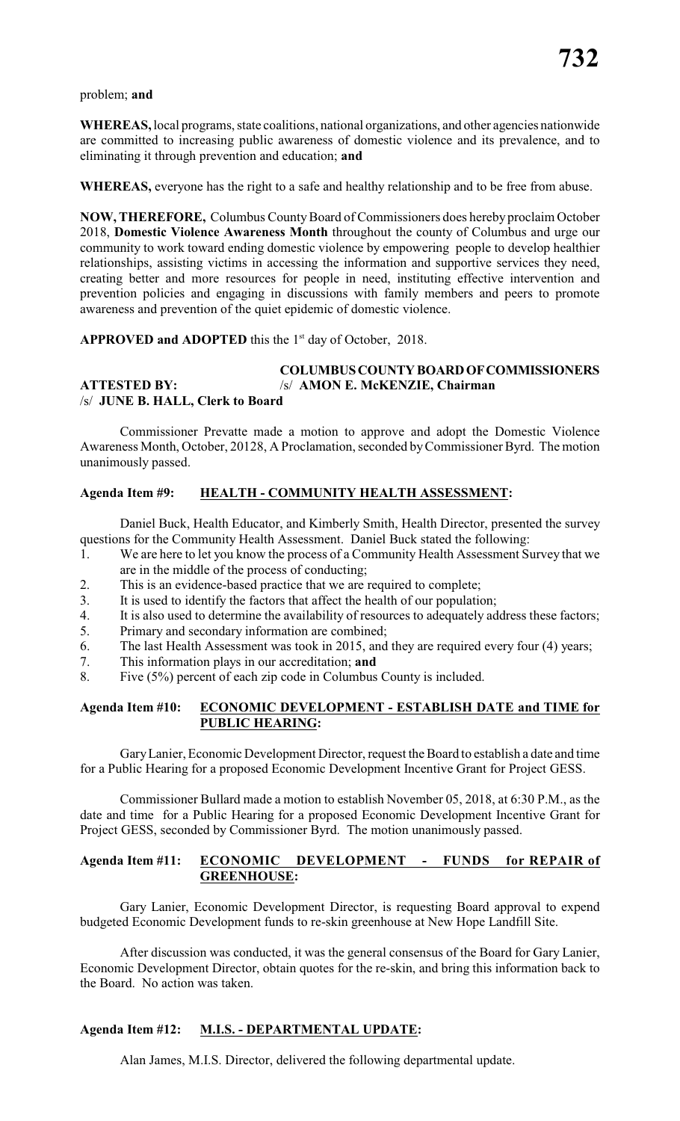problem; **and**

**WHEREAS,** local programs, state coalitions, national organizations, and other agencies nationwide are committed to increasing public awareness of domestic violence and its prevalence, and to eliminating it through prevention and education; **and**

**WHEREAS,** everyone has the right to a safe and healthy relationship and to be free from abuse.

**NOW, THEREFORE,** Columbus CountyBoard of Commissioners does hereby proclaim October 2018, **Domestic Violence Awareness Month** throughout the county of Columbus and urge our community to work toward ending domestic violence by empowering people to develop healthier relationships, assisting victims in accessing the information and supportive services they need, creating better and more resources for people in need, instituting effective intervention and prevention policies and engaging in discussions with family members and peers to promote awareness and prevention of the quiet epidemic of domestic violence.

APPROVED and ADOPTED this the 1<sup>st</sup> day of October, 2018.

### **COLUMBUS COUNTY BOARD OF COMMISSIONERS ATTESTED BY:** /s/ **AMON E. McKENZIE, Chairman** /s/ **JUNE B. HALL, Clerk to Board**

Commissioner Prevatte made a motion to approve and adopt the Domestic Violence Awareness Month, October, 20128, A Proclamation, seconded by Commissioner Byrd. The motion unanimously passed.

# **Agenda Item #9: HEALTH - COMMUNITY HEALTH ASSESSMENT:**

Daniel Buck, Health Educator, and Kimberly Smith, Health Director, presented the survey questions for the Community Health Assessment. Daniel Buck stated the following:

- 1. We are here to let you know the process of a Community Health Assessment Survey that we are in the middle of the process of conducting;
- 2. This is an evidence-based practice that we are required to complete;
- 3. It is used to identify the factors that affect the health of our population;
- 4. It is also used to determine the availability of resources to adequately address these factors;
- 5. Primary and secondary information are combined;
- 6. The last Health Assessment was took in 2015, and they are required every four (4) years;
- 7. This information plays in our accreditation; **and**
- 8. Five (5%) percent of each zip code in Columbus County is included.

# **Agenda Item #10: ECONOMIC DEVELOPMENT - ESTABLISH DATE and TIME for PUBLIC HEARING:**

Gary Lanier, Economic Development Director, request the Board to establish a date and time for a Public Hearing for a proposed Economic Development Incentive Grant for Project GESS.

Commissioner Bullard made a motion to establish November 05, 2018, at 6:30 P.M., as the date and time for a Public Hearing for a proposed Economic Development Incentive Grant for Project GESS, seconded by Commissioner Byrd. The motion unanimously passed.

### **Agenda Item #11: ECONOMIC DEVELOPMENT - FUNDS for REPAIR of GREENHOUSE:**

Gary Lanier, Economic Development Director, is requesting Board approval to expend budgeted Economic Development funds to re-skin greenhouse at New Hope Landfill Site.

After discussion was conducted, it was the general consensus of the Board for Gary Lanier, Economic Development Director, obtain quotes for the re-skin, and bring this information back to the Board. No action was taken.

# **Agenda Item #12: M.I.S. - DEPARTMENTAL UPDATE:**

Alan James, M.I.S. Director, delivered the following departmental update.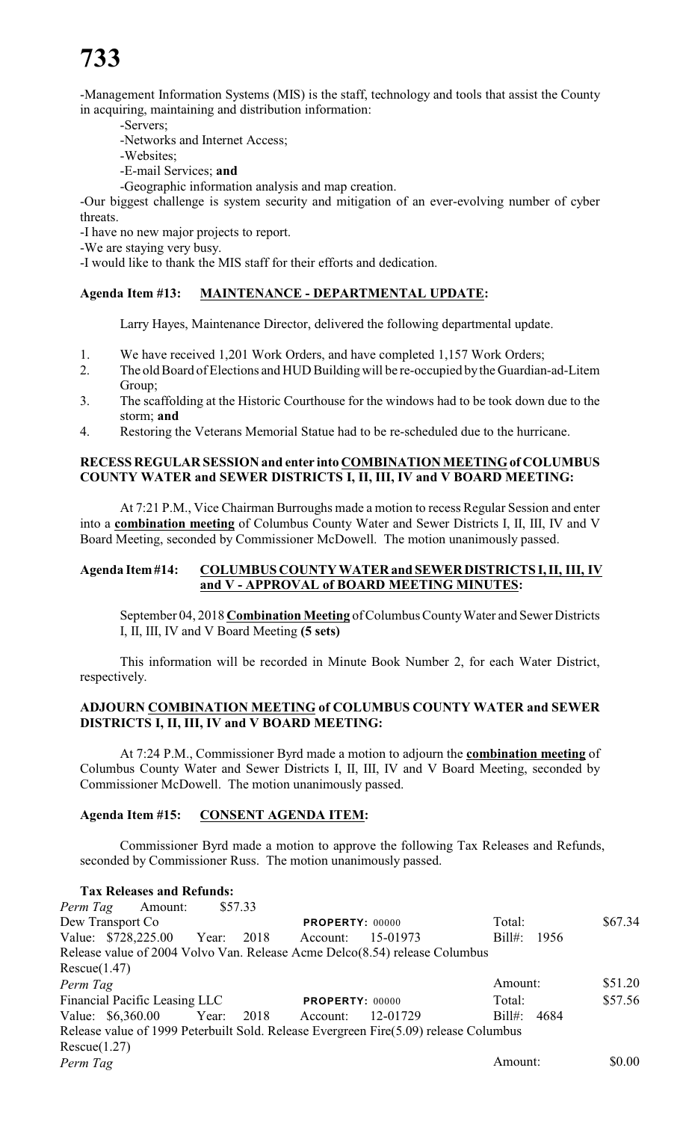-Management Information Systems (MIS) is the staff, technology and tools that assist the County in acquiring, maintaining and distribution information:

- -Servers;
- -Networks and Internet Access;
- -Websites;
- -E-mail Services; **and**
- -Geographic information analysis and map creation.

-Our biggest challenge is system security and mitigation of an ever-evolving number of cyber threats.

-I have no new major projects to report.

-We are staying very busy.

-I would like to thank the MIS staff for their efforts and dedication.

# **Agenda Item #13: MAINTENANCE - DEPARTMENTAL UPDATE:**

Larry Hayes, Maintenance Director, delivered the following departmental update.

- 1. We have received 1,201 Work Orders, and have completed 1,157 Work Orders;
- 2. The old Board of Elections and HUD Building will be re-occupied by the Guardian-ad-Litem Group;
- 3. The scaffolding at the Historic Courthouse for the windows had to be took down due to the storm; **and**
- 4. Restoring the Veterans Memorial Statue had to be re-scheduled due to the hurricane.

# **RECESS REGULAR SESSION and enter into COMBINATION MEETING of COLUMBUS COUNTY WATER and SEWER DISTRICTS I, II, III, IV and V BOARD MEETING:**

At 7:21 P.M., Vice Chairman Burroughs made a motion to recess Regular Session and enter into a **combination meeting** of Columbus County Water and Sewer Districts I, II, III, IV and V Board Meeting, seconded by Commissioner McDowell. The motion unanimously passed.

# **Agenda Item #14: COLUMBUS COUNTY WATER and SEWER DISTRICTS I, II, III, IV and V - APPROVAL of BOARD MEETING MINUTES:**

September 04, 2018 **Combination Meeting** of Columbus County Water and Sewer Districts I, II, III, IV and V Board Meeting **(5 sets)**

This information will be recorded in Minute Book Number 2, for each Water District, respectively.

# **ADJOURN COMBINATION MEETING of COLUMBUS COUNTY WATER and SEWER DISTRICTS I, II, III, IV and V BOARD MEETING:**

At 7:24 P.M., Commissioner Byrd made a motion to adjourn the **combination meeting** of Columbus County Water and Sewer Districts I, II, III, IV and V Board Meeting, seconded by Commissioner McDowell. The motion unanimously passed.

# **Agenda Item #15: CONSENT AGENDA ITEM:**

Commissioner Byrd made a motion to approve the following Tax Releases and Refunds, seconded by Commissioner Russ. The motion unanimously passed.

**Tax Releases and Refunds:** *Perm Tag* Amount: \$57.33 Dew Transport Co **PROPERTY:** 00000 Total: \$67.34 Value: \$728,225.00 Year: 2018 Account: 15-01973 Bill#: 1956 Release value of 2004 Volvo Van. Release Acme Delco(8.54) release Columbus  $Rescue(1.47)$ *Perm Tag* \$51.20 Financial Pacific Leasing LLC **PROPERTY**: 00000 Total: \$57.56 Value: \$6,360.00 Year: 2018 Account: 12-01729 Bill#: 4684 Release value of 1999 Peterbuilt Sold. Release Evergreen Fire(5.09) release Columbus  $Rescue(1.27)$ *Perm Tag* \$0.00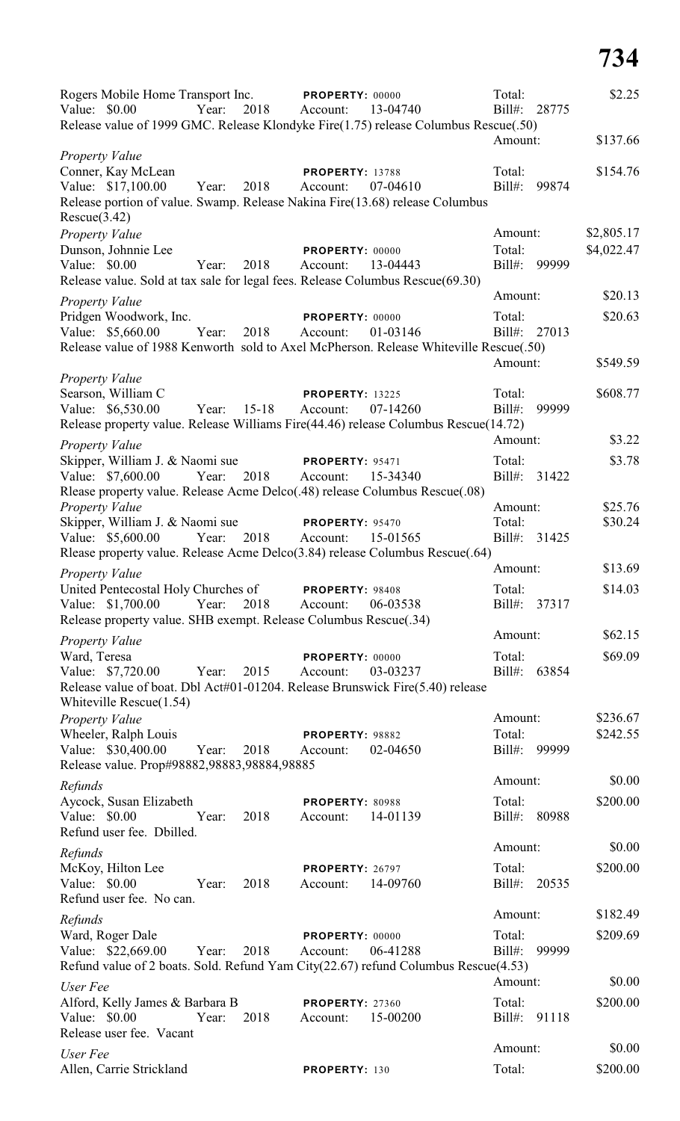| Rogers Mobile Home Transport Inc. PROPERTY: 00000<br>Year:<br>2018 Account:<br>Value: \$0.00                                              | 13-04740                                       | Total:<br>$Bill#$ :<br>28775 | \$2.25     |
|-------------------------------------------------------------------------------------------------------------------------------------------|------------------------------------------------|------------------------------|------------|
| Release value of 1999 GMC. Release Klondyke Fire(1.75) release Columbus Rescue(.50)                                                       |                                                | Amount:                      | \$137.66   |
| Property Value                                                                                                                            |                                                |                              |            |
| Conner, Kay McLean<br>Value: \$17,100.00<br>Year:<br>2018<br>Release portion of value. Swamp. Release Nakina Fire(13.68) release Columbus | <b>PROPERTY: 13788</b><br>07-04610<br>Account: | Total:<br>$Bill#$ :<br>99874 | \$154.76   |
| Rescue(3.42)<br>Property Value                                                                                                            |                                                | Amount:                      | \$2,805.17 |
| Dunson, Johnnie Lee                                                                                                                       | PROPERTY: 00000                                | Total:                       | \$4,022.47 |
| Value: \$0.00<br>Year:<br>2018                                                                                                            | 13-04443<br>Account:                           | 99999<br>Bill#:              |            |
| Release value. Sold at tax sale for legal fees. Release Columbus Rescue(69.30)                                                            |                                                |                              |            |
| Property Value                                                                                                                            |                                                | Amount:                      | \$20.13    |
| Pridgen Woodwork, Inc.                                                                                                                    | PROPERTY: 00000<br>01-03146                    | Total:<br>Bill#: 27013       | \$20.63    |
| Value: \$5,660.00<br>Year:<br>2018<br>Release value of 1988 Kenworth sold to Axel McPherson. Release Whiteville Rescue(.50)               | Account:                                       |                              |            |
|                                                                                                                                           |                                                | Amount:                      | \$549.59   |
| <b>Property Value</b>                                                                                                                     |                                                |                              |            |
| Searson, William C                                                                                                                        | <b>PROPERTY: 13225</b>                         | Total:                       | \$608.77   |
| Value: \$6,530.00<br>Year: 15-18<br>Release property value. Release Williams Fire(44.46) release Columbus Rescue(14.72)                   | Account:<br>07-14260                           | $Bill#$ :<br>99999           |            |
|                                                                                                                                           |                                                | Amount:                      | \$3.22     |
| <b>Property Value</b><br>Skipper, William J. & Naomi sue                                                                                  | <b>PROPERTY: 95471</b>                         | Total:                       | \$3.78     |
| Value: \$7,600.00<br>Year:<br>2018                                                                                                        | Account:<br>15-34340                           | Bill#: 31422                 |            |
| Rlease property value. Release Acme Delco(.48) release Columbus Rescue(.08)                                                               |                                                |                              |            |
| <b>Property Value</b>                                                                                                                     |                                                | Amount:                      | \$25.76    |
| Skipper, William J. & Naomi sue                                                                                                           | PROPERTY: 95470                                | Total:                       | \$30.24    |
| 2018<br>Year:<br>Value: \$5,600.00                                                                                                        | 15-01565<br>Account:                           | Bill#: 31425                 |            |
| Rlease property value. Release Acme Delco(3.84) release Columbus Rescue(.64)                                                              |                                                | Amount:                      | \$13.69    |
| <b>Property Value</b>                                                                                                                     |                                                |                              |            |
| United Pentecostal Holy Churches of<br>Value: \$1,700.00<br>2018<br>Year:                                                                 | PROPERTY: 98408<br>06-03538<br>Account:        | Total:<br>$Bill#$ :<br>37317 | \$14.03    |
| Release property value. SHB exempt. Release Columbus Rescue(.34)                                                                          |                                                |                              |            |
| Property Value                                                                                                                            |                                                | Amount:                      | \$62.15    |
| Ward, Teresa                                                                                                                              | PROPERTY: 00000                                | Total:                       | \$69.09    |
| Value: \$7,720.00<br>Year:<br>2015                                                                                                        | 03-03237<br>Account:                           | $Bill#$ :<br>63854           |            |
| Release value of boat. Dbl Act#01-01204. Release Brunswick Fire(5.40) release<br>Whiteville Rescue(1.54)                                  |                                                |                              |            |
| <b>Property Value</b>                                                                                                                     |                                                | Amount:                      | \$236.67   |
| Wheeler, Ralph Louis                                                                                                                      | PROPERTY: 98882                                | Total:                       | \$242.55   |
| Value: \$30,400.00<br>2018<br>Year:<br>Release value. Prop#98882,98883,98884,98885                                                        | 02-04650<br>Account:                           | Bill#:<br>99999              |            |
| Refunds                                                                                                                                   |                                                | Amount:                      | \$0.00     |
| Aycock, Susan Elizabeth                                                                                                                   | PROPERTY: 80988                                | Total:                       | \$200.00   |
| Value: \$0.00<br>2018<br>Year:<br>Refund user fee. Dbilled.                                                                               | 14-01139<br>Account:                           | Bill#:<br>80988              |            |
| Refunds                                                                                                                                   |                                                | Amount:                      | \$0.00     |
| McKoy, Hilton Lee                                                                                                                         | PROPERTY: 26797                                | Total:                       | \$200.00   |
| Value: \$0.00<br>2018<br>Year:<br>Refund user fee. No can.                                                                                | 14-09760<br>Account:                           | Bill#: 20535                 |            |
| Refunds                                                                                                                                   |                                                | Amount:                      | \$182.49   |
| Ward, Roger Dale                                                                                                                          | PROPERTY: 00000                                | Total:                       | \$209.69   |
| Value: \$22,669.00<br>2018<br>Year:                                                                                                       | 06-41288<br>Account:                           | Bill#:<br>99999              |            |
| Refund value of 2 boats. Sold. Refund Yam City(22.67) refund Columbus Rescue(4.53)                                                        |                                                | Amount:                      | \$0.00     |
| User Fee                                                                                                                                  |                                                |                              |            |
| Alford, Kelly James & Barbara B<br>Value: \$0.00<br>2018<br>Year:                                                                         | <b>PROPERTY: 27360</b><br>15-00200<br>Account: | Total:<br>$Bill#$ :<br>91118 | \$200.00   |
| Release user fee. Vacant                                                                                                                  |                                                |                              |            |
| User Fee                                                                                                                                  |                                                | Amount:                      | \$0.00     |
| Allen, Carrie Strickland                                                                                                                  | PROPERTY: 130                                  | Total:                       | \$200.00   |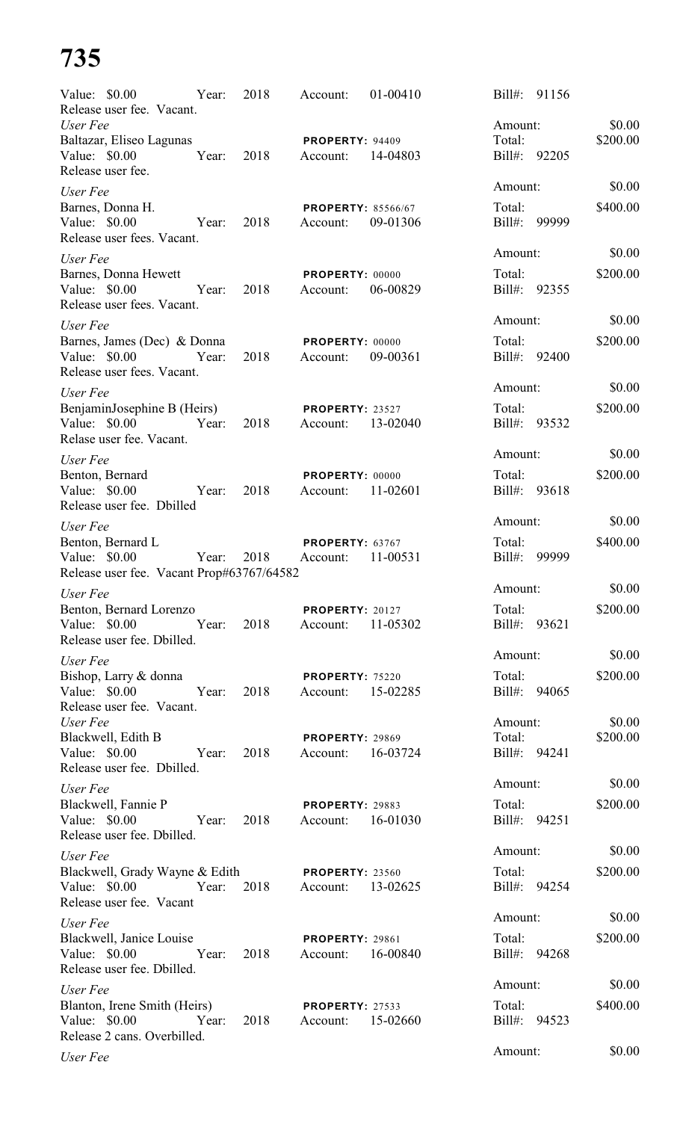| Value: \$0.00 | Release user fee. Vacant.                                                     | Year: | 2018 | Account:                                         | 01-00410 | Bill#:                 | 91156 |          |
|---------------|-------------------------------------------------------------------------------|-------|------|--------------------------------------------------|----------|------------------------|-------|----------|
| User Fee      |                                                                               |       |      |                                                  |          | Amount:                |       | \$0.00   |
|               | Baltazar, Eliseo Lagunas                                                      |       |      | PROPERTY: 94409                                  |          | Total:                 |       | \$200.00 |
| Value: \$0.00 | Release user fee.                                                             | Year: | 2018 | Account:                                         | 14-04803 | Bill#: 92205           |       |          |
| User Fee      |                                                                               |       |      |                                                  |          | Amount:                |       | \$0.00   |
| Value: \$0.00 | Barnes, Donna H.<br>Release user fees. Vacant.                                | Year: | 2018 | <b>PROPERTY: 85566/67</b><br>Account:            | 09-01306 | Total:<br>Bill#:       | 99999 | \$400.00 |
| User Fee      |                                                                               |       |      |                                                  |          | Amount:                |       | \$0.00   |
| Value: \$0.00 | Barnes, Donna Hewett<br>Release user fees. Vacant.                            | Year: | 2018 | PROPERTY: 00000<br>Account:                      | 06-00829 | Total:<br>Bill#: 92355 |       | \$200.00 |
| User Fee      |                                                                               |       |      |                                                  |          | Amount:                |       | \$0.00   |
|               | Barnes, James (Dec) & Donna                                                   |       |      | PROPERTY: 00000                                  |          | Total:                 |       | \$200.00 |
| Value: \$0.00 | Release user fees. Vacant.                                                    | Year: | 2018 | Account:                                         | 09-00361 | Bill#: 92400           |       |          |
| User Fee      |                                                                               |       |      |                                                  |          | Amount:                |       | \$0.00   |
| Value: \$0.00 | BenjaminJosephine B (Heirs)<br>Relase user fee. Vacant.                       | Year: | 2018 | <b>PROPERTY: 23527</b><br>Account:               | 13-02040 | Total:<br>Bill#:       | 93532 | \$200.00 |
| User Fee      |                                                                               |       |      |                                                  |          | Amount:                |       | \$0.00   |
|               | Benton, Bernard                                                               |       |      | PROPERTY: 00000                                  |          | Total:                 |       | \$200.00 |
| Value: \$0.00 | Release user fee. Dbilled                                                     | Year: | 2018 | Account:                                         | 11-02601 | Bill#: 93618           |       |          |
| User Fee      |                                                                               |       |      |                                                  |          | Amount:                |       | \$0.00   |
| Value: \$0.00 | Benton, Bernard L<br>Release user fee. Vacant Prop#63767/64582                | Year: | 2018 | PROPERTY: 63767<br>Account:                      | 11-00531 | Total:<br>$Bill#$ :    | 99999 | \$400.00 |
| User Fee      |                                                                               |       |      |                                                  |          | Amount:                |       | \$0.00   |
|               | Benton, Bernard Lorenzo                                                       |       |      | <b>PROPERTY: 20127</b>                           |          | Total:                 |       | \$200.00 |
|               | Value: \$0.00 Year:<br>Release user fee. Dbilled.                             |       |      | 2018 Account: 11-05302                           |          | Bill#: 93621           |       |          |
| User Fee      |                                                                               |       |      |                                                  |          | Amount:                |       | \$0.00   |
|               | Bishop, Larry & donna<br>Value: \$0.00 Year:<br>Release user fee. Vacant.     |       | 2018 | <b>PROPERTY: 75220</b><br>Account: 15-02285      |          | Total:<br>Bill#: 94065 |       | \$200.00 |
| User Fee      |                                                                               |       |      |                                                  |          | Amount:                |       | \$0.00   |
|               | Blackwell, Edith B                                                            |       |      | <b>PROPERTY: 29869</b>                           |          | Total:                 |       | \$200.00 |
| Value: \$0.00 | Year:<br>Release user fee. Dbilled.                                           |       | 2018 | Account: 16-03724                                |          | Bill#: 94241           |       |          |
| User Fee      |                                                                               |       |      |                                                  |          | Amount:                |       | \$0.00   |
|               | Blackwell, Fannie P<br>Value: \$0.00 Year:<br>Release user fee. Dbilled.      |       | 2018 | <b>PROPERTY: 29883</b><br>Account: 16-01030      |          | Total:<br>Bill#: 94251 |       | \$200.00 |
| User Fee      |                                                                               |       |      |                                                  |          | Amount:                |       | \$0.00   |
|               | Blackwell, Grady Wayne & Edith                                                |       |      | <b>PROPERTY: 23560</b>                           |          | Total:                 |       | \$200.00 |
|               | Value: \$0.00 Year: 2018 Account: 13-02625<br>Release user fee. Vacant        |       |      |                                                  |          | Bill#: 94254           |       |          |
| User Fee      |                                                                               |       |      |                                                  |          | Amount:                |       | \$0.00   |
|               | Blackwell, Janice Louise<br>Value: \$0.00 Year:<br>Release user fee. Dbilled. |       | 2018 | <b>PROPERTY: 29861</b><br>Account: 16-00840      |          | Total:<br>Bill#: 94268 |       | \$200.00 |
| User Fee      |                                                                               |       |      |                                                  |          | Amount:                |       | \$0.00   |
| Value: \$0.00 | Blanton, Irene Smith (Heirs)<br>Release 2 cans. Overbilled.                   | Year: |      | <b>PROPERTY: 27533</b><br>2018 Account: 15-02660 |          | Total:<br>Bill#: 94523 |       | \$400.00 |
| User Fee      |                                                                               |       |      |                                                  |          | Amount:                |       | \$0.00   |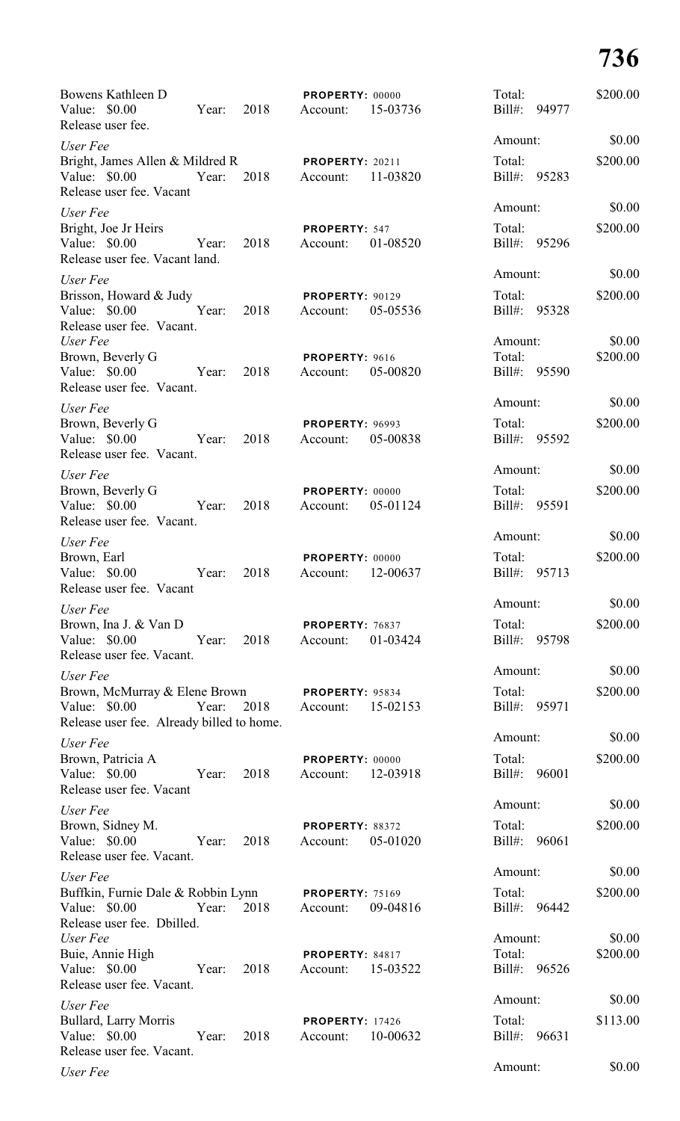| Bowens Kathleen D<br>Value: \$0.00<br>Release user fee.                                      | Year: | 2018 | PROPERTY: 00000<br>Account:        | 15-03736 | Total:<br>$Bill#$ :            | 94977 | \$200.00           |
|----------------------------------------------------------------------------------------------|-------|------|------------------------------------|----------|--------------------------------|-------|--------------------|
| User Fee                                                                                     |       |      |                                    |          | Amount:                        |       | \$0.00             |
| Bright, James Allen & Mildred R<br>Value: $$0.00$<br>Release user fee. Vacant                | Year: | 2018 | <b>PROPERTY: 20211</b><br>Account: | 11-03820 | Total:<br>Bill#:               | 95283 | \$200.00           |
| User Fee                                                                                     |       |      |                                    |          | Amount:                        |       | \$0.00             |
| Bright, Joe Jr Heirs<br>Value: $$0.00$<br>Release user fee. Vacant land.                     | Year: | 2018 | PROPERTY: 547<br>Account:          | 01-08520 | Total:<br>Bill#:               | 95296 | \$200.00           |
| User Fee                                                                                     |       |      |                                    |          | Amount:                        |       | \$0.00             |
| Brisson, Howard & Judy<br>Value: \$0.00<br>Release user fee. Vacant.                         | Year: | 2018 | <b>PROPERTY: 90129</b><br>Account: | 05-05536 | Total:<br>Bill#: 95328         |       | \$200.00           |
| User Fee<br>Brown, Beverly G<br>Value: \$0.00<br>Release user fee. Vacant.                   | Year: | 2018 | PROPERTY: 9616<br>Account:         | 05-00820 | Amount:<br>Total:<br>Bill#:    | 95590 | \$0.00<br>\$200.00 |
| User Fee                                                                                     |       |      |                                    |          | Amount:                        |       | \$0.00             |
| Brown, Beverly G<br>Value: \$0.00<br>Release user fee. Vacant.                               | Year: | 2018 | <b>PROPERTY: 96993</b><br>Account: | 05-00838 | Total:<br>Bill#: 95592         |       | \$200.00           |
| User Fee                                                                                     |       |      |                                    |          | Amount:                        |       | \$0.00             |
| Brown, Beverly G<br>Value: \$0.00<br>Release user fee. Vacant.                               | Year: | 2018 | PROPERTY: 00000<br>Account:        | 05-01124 | Total:<br>Bill#:               | 95591 | \$200.00           |
| User Fee                                                                                     |       |      |                                    |          | Amount:                        |       | \$0.00             |
| Brown, Earl<br>Value: \$0.00<br>Release user fee. Vacant                                     | Year: | 2018 | PROPERTY: 00000<br>Account:        | 12-00637 | Total:<br>Bill#:               | 95713 | \$200.00           |
| User Fee                                                                                     |       |      |                                    |          | Amount:                        |       | \$0.00             |
| Brown, Ina J. & Van D<br>Value: \$0.00<br>Release user fee. Vacant.                          | Year: | 2018 | <b>PROPERTY: 76837</b><br>Account: | 01-03424 | Total:<br>Bill#:               | 95798 | \$200.00           |
| User Fee                                                                                     |       |      |                                    |          | Amount:                        |       | \$0.00             |
| Brown, McMurray & Elene Brown<br>Value: $$0.00$<br>Release user fee. Already billed to home. | Year: | 2018 | <b>PROPERTY: 95834</b><br>Account: | 15-02153 | Total:<br>Bill#:               | 95971 | \$200.00           |
| User Fee                                                                                     |       |      |                                    |          | Amount:                        |       | \$0.00             |
| Brown, Patricia A<br>Value: \$0.00<br>Release user fee. Vacant                               | Year: | 2018 | PROPERTY: 00000<br>Account:        | 12-03918 | Total:<br>Bill#:               | 96001 | \$200.00           |
| User Fee                                                                                     |       |      |                                    |          | Amount:                        |       | \$0.00             |
| Brown, Sidney M.<br>Value: \$0.00<br>Release user fee. Vacant.                               | Year: | 2018 | PROPERTY: 88372<br>Account:        | 05-01020 | Total:<br>Bill#:               | 96061 | \$200.00           |
| User Fee                                                                                     |       |      |                                    |          | Amount:                        |       | \$0.00             |
| Buffkin, Furnie Dale & Robbin Lynn<br>Value: \$0.00<br>Release user fee. Dbilled.            | Year: | 2018 | <b>PROPERTY: 75169</b><br>Account: | 09-04816 | Total:<br>Bill#: 96442         |       | \$200.00           |
| User Fee<br>Buie, Annie High<br>Value: \$0.00                                                | Year: | 2018 | PROPERTY: 84817<br>Account:        | 15-03522 | Amount:<br>Total:<br>$Bill#$ : | 96526 | \$0.00<br>\$200.00 |
| Release user fee. Vacant.                                                                    |       |      |                                    |          |                                |       |                    |
| User Fee<br>Bullard, Larry Morris<br>Value: \$0.00<br>Release user fee. Vacant.              | Year: | 2018 | <b>PROPERTY: 17426</b><br>Account: | 10-00632 | Amount:<br>Total:<br>Bill#:    | 96631 | \$0.00<br>\$113.00 |
| User Fee                                                                                     |       |      |                                    |          | Amount:                        |       | \$0.00             |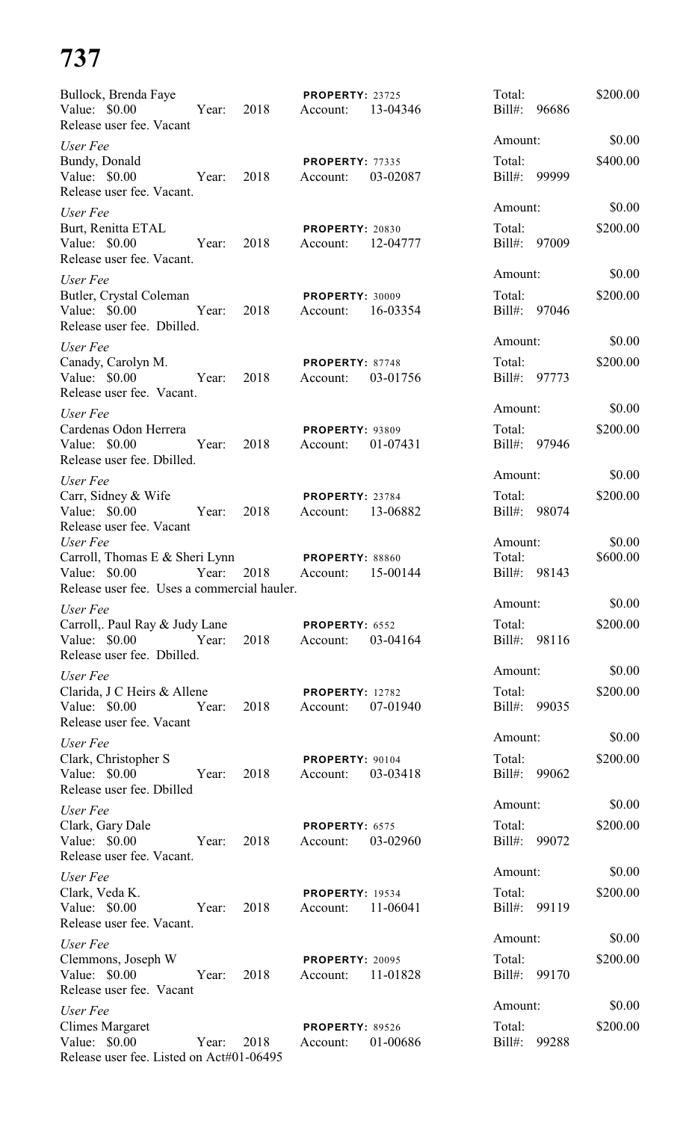| Bullock, Brenda Faye<br>Value: \$0.00<br>Release user fee. Vacant                                          | Year: | 2018 | <b>PROPERTY: 23725</b><br>Account: | 13-04346 | Total:<br>$Bill#$ :               | 96686 | \$200.00           |
|------------------------------------------------------------------------------------------------------------|-------|------|------------------------------------|----------|-----------------------------------|-------|--------------------|
| User Fee                                                                                                   |       |      |                                    |          | Amount:                           |       | \$0.00             |
| Bundy, Donald<br>Value: \$0.00<br>Release user fee. Vacant.                                                | Year: | 2018 | <b>PROPERTY: 77335</b><br>Account: | 03-02087 | Total:<br>$Bill#$ :               | 99999 | \$400.00           |
| User Fee<br>Burt, Renitta ETAL<br>Value: $$0.00$<br>Release user fee. Vacant.                              | Year: | 2018 | <b>PROPERTY: 20830</b><br>Account: | 12-04777 | Amount:<br>Total:<br>Bill#: 97009 |       | \$0.00<br>\$200.00 |
| User Fee<br>Butler, Crystal Coleman<br>Value: \$0.00<br>Release user fee. Dbilled.                         | Year: | 2018 | PROPERTY: 30009<br>Account:        | 16-03354 | Amount:<br>Total:<br>Bill#: 97046 |       | \$0.00<br>\$200.00 |
| User Fee<br>Canady, Carolyn M.<br>Value: \$0.00<br>Release user fee. Vacant.                               | Year: | 2018 | PROPERTY: 87748<br>Account:        | 03-01756 | Amount:<br>Total:<br>Bill#: 97773 |       | \$0.00<br>\$200.00 |
| User Fee<br>Cardenas Odon Herrera<br>Value: \$0.00<br>Release user fee. Dbilled.                           | Year: | 2018 | <b>PROPERTY: 93809</b><br>Account: | 01-07431 | Amount:<br>Total:<br>Bill#: 97946 |       | \$0.00<br>\$200.00 |
| User Fee<br>Carr, Sidney & Wife<br>Value: \$0.00<br>Release user fee. Vacant                               | Year: | 2018 | PROPERTY: 23784<br>Account:        | 13-06882 | Amount:<br>Total:<br>$Bill#$ :    | 98074 | \$0.00<br>\$200.00 |
| User Fee<br>Carroll, Thomas E & Sheri Lynn<br>Value: \$0.00<br>Release user fee. Uses a commercial hauler. | Year: | 2018 | <b>PROPERTY: 88860</b><br>Account: | 15-00144 | Amount:<br>Total:<br>$Bill#$ :    | 98143 | \$0.00<br>\$600.00 |
| User Fee                                                                                                   |       |      |                                    |          | Amount:                           |       | \$0.00             |
| Carroll,. Paul Ray & Judy Lane<br>Value: \$0.00 Year:<br>Release user fee. Dbilled.                        |       | 2018 | PROPERTY: 6552<br>Account:         | 03-04164 | Total:<br>Bill#: 98116            |       | \$200.00           |
| User Fee<br>Clarida, J C Heirs & Allene<br>Value: $$0.00$<br>Release user fee. Vacant                      | Year: | 2018 | <b>PROPERTY: 12782</b><br>Account: | 07-01940 | Amount:<br>Total:<br>Bill#: 99035 |       | \$0.00<br>\$200.00 |
| User Fee<br>Clark, Christopher S<br>Value: \$0.00 Year:<br>Release user fee. Dbilled                       |       | 2018 | PROPERTY: 90104<br>Account:        | 03-03418 | Amount:<br>Total:<br>Bill#: 99062 |       | \$0.00<br>\$200.00 |
| User Fee<br>Clark, Gary Dale<br>Value: \$0.00 Year:<br>Release user fee. Vacant.                           |       | 2018 | PROPERTY: 6575<br>Account:         | 03-02960 | Amount:<br>Total:<br>Bill#: 99072 |       | \$0.00<br>\$200.00 |
| User Fee<br>Clark, Veda K.<br>Value: $$0.00$<br>Release user fee. Vacant.                                  | Year: | 2018 | <b>PROPERTY: 19534</b><br>Account: | 11-06041 | Amount:<br>Total:<br>Bill#: 99119 |       | \$0.00<br>\$200.00 |
| User Fee<br>Clemmons, Joseph W<br>Value: \$0.00<br>Release user fee. Vacant                                | Year: | 2018 | PROPERTY: 20095<br>Account:        | 11-01828 | Amount:<br>Total:<br>Bill#: 99170 |       | \$0.00<br>\$200.00 |
| User Fee<br><b>Climes Margaret</b><br>Value: \$0.00<br>Release user fee. Listed on Act#01-06495            | Year: | 2018 | <b>PROPERTY: 89526</b><br>Account: | 01-00686 | Amount:<br>Total:<br>Bill#: 99288 |       | \$0.00<br>\$200.00 |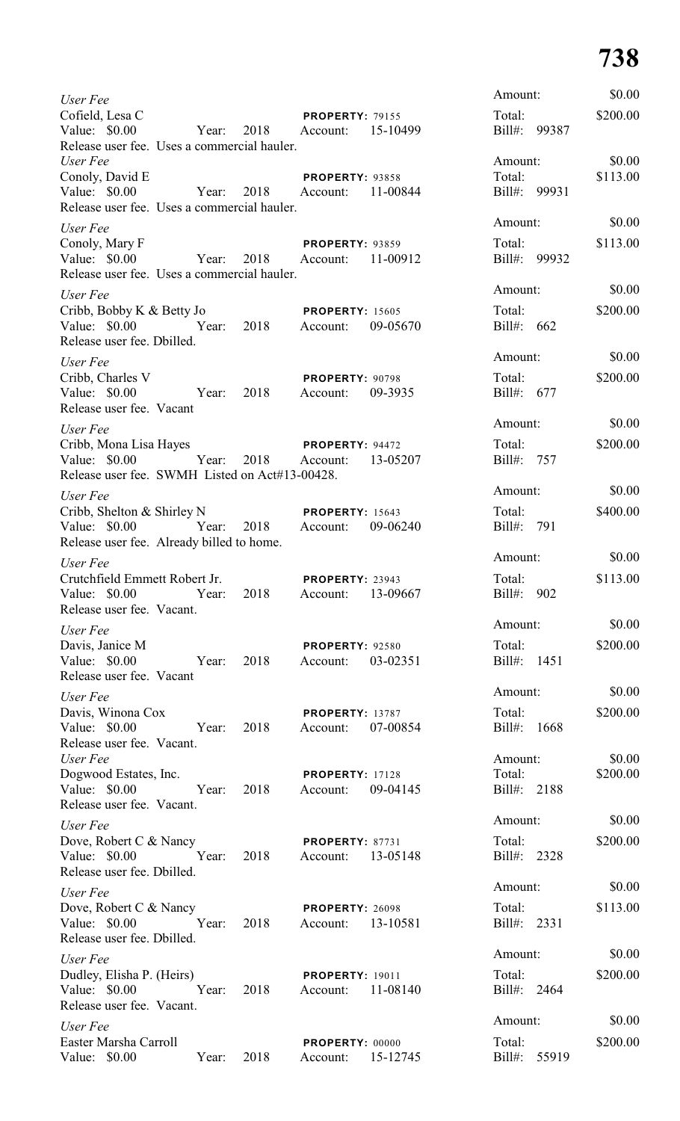| User Fee                                                                                        |       |                     |                                             |          | Amount:                | \$0.00   |
|-------------------------------------------------------------------------------------------------|-------|---------------------|---------------------------------------------|----------|------------------------|----------|
| Cofield, Lesa C<br>Value: \$0.00<br>Release user fee. Uses a commercial hauler.                 | Year: | 2018                | <b>PROPERTY: 79155</b><br>Account:          | 15-10499 | Total:<br>Bill#: 99387 | \$200.00 |
| User Fee                                                                                        |       |                     |                                             |          | Amount:                | \$0.00   |
| Conoly, David E<br>Value: \$0.00                                                                |       | Year: 2018 Account: | <b>PROPERTY: 93858</b>                      | 11-00844 | Total:<br>Bill#: 99931 | \$113.00 |
| Release user fee. Uses a commercial hauler.                                                     |       |                     |                                             |          | Amount:                | \$0.00   |
| User Fee<br>Conoly, Mary F                                                                      |       |                     | <b>PROPERTY: 93859</b>                      |          | Total:                 | \$113.00 |
| Value: \$0.00<br>Release user fee. Uses a commercial hauler.                                    |       | Year: 2018          | Account:                                    | 11-00912 | Bill#: 99932           |          |
| User Fee                                                                                        |       |                     |                                             |          | Amount:                | \$0.00   |
| Cribb, Bobby K & Betty Jo<br>Value: \$0.00<br>Release user fee. Dbilled.                        |       | Year: 2018 Account: | <b>PROPERTY: 15605</b>                      | 09-05670 | Total:<br>Bill#: $662$ | \$200.00 |
| User Fee                                                                                        |       |                     |                                             |          | Amount:                | \$0.00   |
| Cribb, Charles V<br>Value: \$0.00<br>Release user fee. Vacant                                   |       | Year: 2018          | PROPERTY: 90798<br>Account:                 | 09-3935  | Total:<br>Bill#: 677   | \$200.00 |
| User Fee                                                                                        |       |                     |                                             |          | Amount:                | \$0.00   |
| Cribb, Mona Lisa Hayes<br>Value: \$0.00 Year:<br>Release user fee. SWMH Listed on Act#13-00428. |       | 2018 Account:       | <b>PROPERTY: 94472</b>                      | 13-05207 | Total:<br>Bill#: 757   | \$200.00 |
| User Fee                                                                                        |       |                     |                                             |          | Amount:                | \$0.00   |
| Cribb, Shelton & Shirley N<br><b>PROPERTY:</b> 15643<br>Value: \$0.00                           |       | Year: 2018 Account: |                                             | 09-06240 | Total:<br>Bill#: 791   | \$400.00 |
| Release user fee. Already billed to home.                                                       |       |                     |                                             |          | Amount:                | \$0.00   |
| User Fee<br>Crutchfield Emmett Robert Jr.<br>Value: \$0.00<br>Release user fee. Vacant.         | Year: | 2018                | PROPERTY: 23943<br>Account:                 | 13-09667 | Total:<br>Bill#: 902   | \$113.00 |
| User Fee                                                                                        |       |                     |                                             |          | Amount:                | \$0.00   |
| Davis, Janice M<br>Value: \$0.00 Year:<br>Release user fee. Vacant                              |       | 2018                | <b>PROPERTY: 92580</b><br>Account: 03-02351 |          | Total:<br>Bill#: 1451  | \$200.00 |
| User Fee                                                                                        |       |                     |                                             |          | Amount:                | \$0.00   |
| Davis, Winona Cox<br>Value: \$0.00 Year:<br>Release user fee. Vacant.                           |       | 2018                | <b>PROPERTY: 13787</b><br>Account: 07-00854 |          | Total:<br>Bill#: 1668  | \$200.00 |
| User Fee                                                                                        |       |                     |                                             |          | Amount:                | \$0.00   |
| Dogwood Estates, Inc.<br>Value: \$0.00 Year:<br>Release user fee. Vacant.                       |       | 2018                | <b>PROPERTY: 17128</b><br>Account: 09-04145 |          | Total:<br>Bill#: 2188  | \$200.00 |
| User Fee                                                                                        |       |                     |                                             |          | Amount:                | \$0.00   |
| Dove, Robert C & Nancy<br>Value: \$0.00 Year:<br>Release user fee. Dbilled.                     |       | 2018                | PROPERTY: 87731<br>Account: 13-05148        |          | Total:<br>Bill#: 2328  | \$200.00 |
| User Fee                                                                                        |       |                     |                                             |          | Amount:                | \$0.00   |
| Dove, Robert C & Nancy<br>Value: \$0.00 Year:<br>Release user fee. Dbilled.                     |       | 2018                | PROPERTY: 26098<br>Account:                 | 13-10581 | Total:<br>Bill#: 2331  | \$113.00 |
| User Fee                                                                                        |       |                     |                                             |          | Amount:                | \$0.00   |
| Dudley, Elisha P. (Heirs)<br>Value: \$0.00 Year:<br>Release user fee. Vacant.                   |       | 2018                | <b>PROPERTY: 19011</b><br>Account:          | 11-08140 | Total:<br>Bill#: 2464  | \$200.00 |
| User Fee                                                                                        |       |                     |                                             |          | Amount:                | \$0.00   |
| Easter Marsha Carroll<br>Value: \$0.00                                                          | Year: | 2018                | PROPERTY: 00000<br>Account:                 | 15-12745 | Total:<br>Bill#: 55919 | \$200.00 |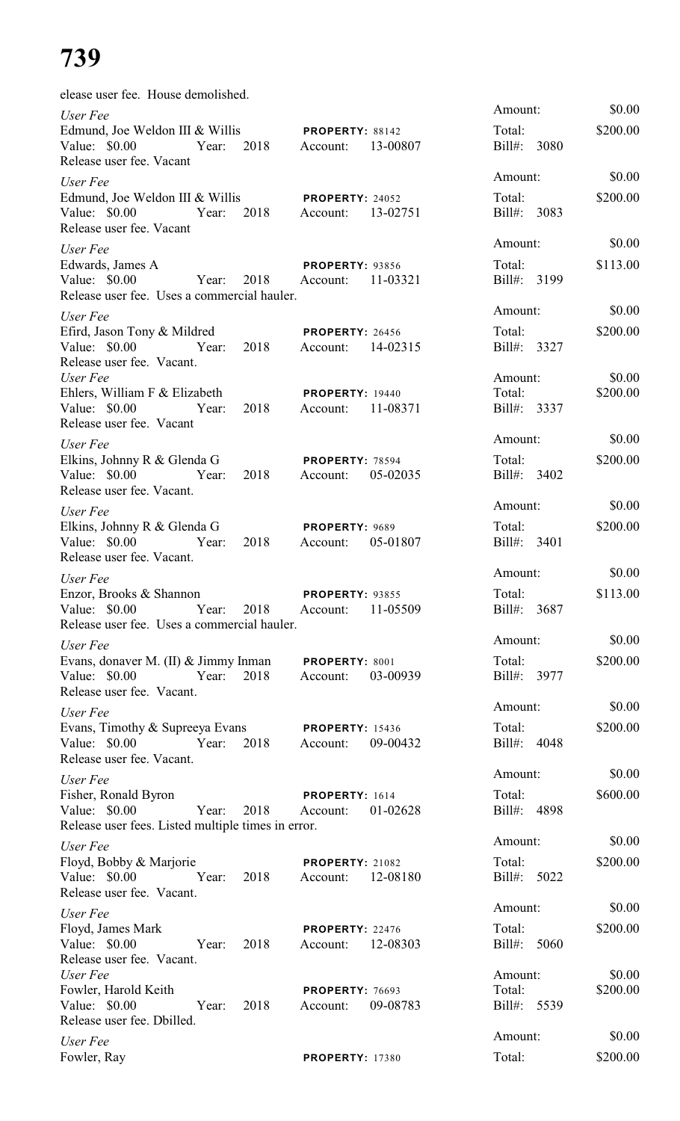| elease user fee. House demolished.                                                                                        |                                                |                                  |                    |
|---------------------------------------------------------------------------------------------------------------------------|------------------------------------------------|----------------------------------|--------------------|
| User Fee<br>Edmund, Joe Weldon III & Willis<br>Value: \$0.00<br>Year: 2018 Account:<br>Release user fee. Vacant           | <b>PROPERTY: 88142</b><br>13-00807             | Amount:<br>Total:<br>Bill#: 3080 | \$0.00<br>\$200.00 |
| User Fee<br>Edmund, Joe Weldon III & Willis<br>Year: 2018 Account:<br>Value: \$0.00<br>Release user fee. Vacant           | <b>PROPERTY: 24052</b><br>13-02751             | Amount:<br>Total:<br>Bill#: 3083 | \$0.00<br>\$200.00 |
| User Fee<br>Edwards, James A<br>Value: \$0.00<br>Year: 2018<br>Release user fee. Uses a commercial hauler.                | <b>PROPERTY: 93856</b><br>11-03321<br>Account: | Amount:<br>Total:<br>Bill#: 3199 | \$0.00<br>\$113.00 |
| User Fee<br>Efird, Jason Tony & Mildred<br>Value: \$0.00 Year: 2018<br>Release user fee. Vacant.                          | <b>PROPERTY: 26456</b><br>Account: 14-02315    | Amount:<br>Total:<br>Bill#: 3327 | \$0.00<br>\$200.00 |
| User Fee<br>Ehlers, William F & Elizabeth<br>Value: \$0.00 Year:<br>2018<br>Release user fee. Vacant                      | <b>PROPERTY: 19440</b><br>11-08371<br>Account: | Amount:<br>Total:<br>Bill#: 3337 | \$0.00<br>\$200.00 |
| User Fee<br>Elkins, Johnny R & Glenda G<br>Value: \$0.00 Year:<br>2018<br>Release user fee. Vacant.                       | <b>PROPERTY: 78594</b><br>05-02035<br>Account: | Amount:<br>Total:<br>Bill#: 3402 | \$0.00<br>\$200.00 |
| User Fee<br>Elkins, Johnny R & Glenda G<br>Value: \$0.00<br>2018<br>Year:<br>Release user fee. Vacant.                    | PROPERTY: 9689<br>05-01807<br>Account:         | Amount:<br>Total:<br>Bill#: 3401 | \$0.00<br>\$200.00 |
| User Fee<br>Enzor, Brooks & Shannon<br>Value: $$0.00$<br>Year:<br>2018<br>Release user fee. Uses a commercial hauler.     | <b>PROPERTY: 93855</b><br>11-05509<br>Account: | Amount:<br>Total:<br>Bill#: 3687 | \$0.00<br>\$113.00 |
| User Fee<br>Evans, donaver M. (II) & Jimmy Inman<br>Value: \$0.00<br>2018<br>Year:<br>Release user fee. Vacant.           | PROPERTY: 8001<br>03-00939<br>Account:         | Amount:<br>Total:<br>Bill#: 3977 | \$0.00<br>\$200.00 |
| User Fee<br>Evans, Timothy & Supreeya Evans<br>2018<br>Value: $$0.00$<br>Year:<br>Release user fee. Vacant.               | <b>PROPERTY: 15436</b><br>09-00432<br>Account: | Amount:<br>Total:<br>Bill#: 4048 | \$0.00<br>\$200.00 |
| User Fee<br>Fisher, Ronald Byron<br>Year:<br>Value: $$0.00$<br>2018<br>Release user fees. Listed multiple times in error. | PROPERTY: 1614<br>01-02628<br>Account:         | Amount:<br>Total:<br>Bill#: 4898 | \$0.00<br>\$600.00 |
| User Fee<br>Floyd, Bobby & Marjorie<br>Value: \$0.00<br>2018<br>Year:<br>Release user fee. Vacant.                        | <b>PROPERTY: 21082</b><br>12-08180<br>Account: | Amount:<br>Total:<br>Bill#: 5022 | \$0.00<br>\$200.00 |
| User Fee<br>Floyd, James Mark<br>Value: \$0.00<br>Year:<br>2018<br>Release user fee. Vacant.                              | PROPERTY: 22476<br>12-08303<br>Account:        | Amount:<br>Total:<br>Bill#: 5060 | \$0.00<br>\$200.00 |
| User Fee<br>Fowler, Harold Keith<br>Value: \$0.00<br>Year:<br>2018<br>Release user fee. Dbilled.                          | <b>PROPERTY: 76693</b><br>09-08783<br>Account: | Amount:<br>Total:<br>Bill#: 5539 | \$0.00<br>\$200.00 |
| User Fee<br>Fowler, Ray                                                                                                   | <b>PROPERTY: 17380</b>                         | Amount:<br>Total:                | \$0.00<br>\$200.00 |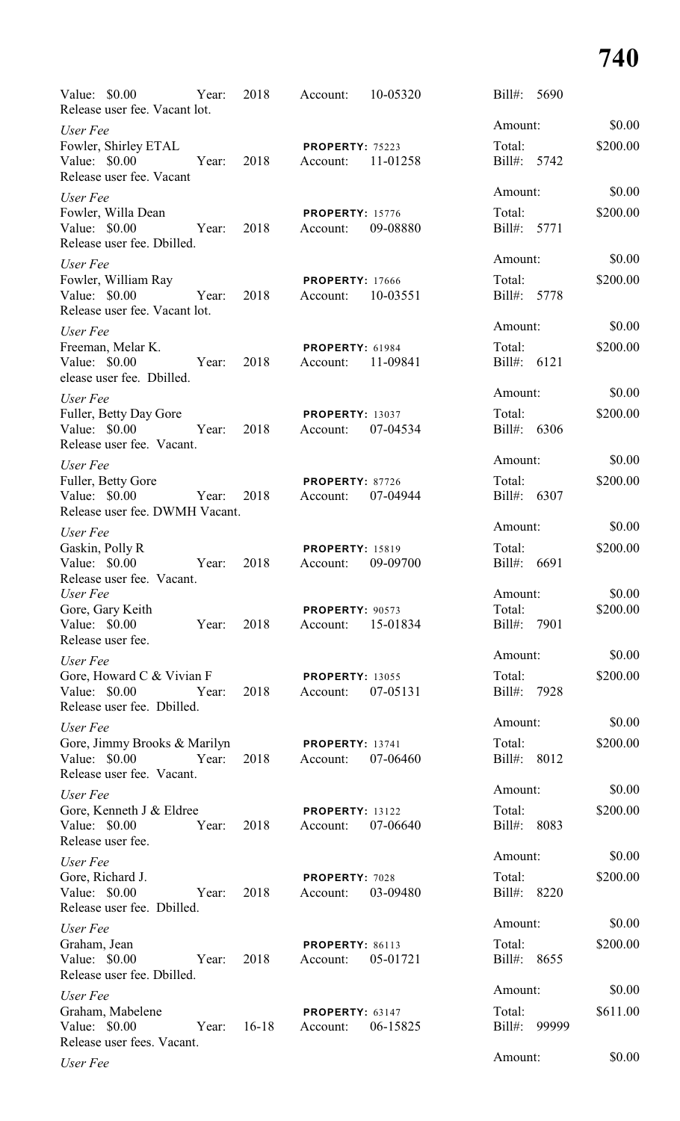| Value: \$0.00<br>Release user fee. Vacant lot.                             | Year: | 2018       | Account:                           | 10-05320 | $\text{Bill}$ :           | 5690  |          |
|----------------------------------------------------------------------------|-------|------------|------------------------------------|----------|---------------------------|-------|----------|
| User Fee                                                                   |       |            |                                    |          | Amount:                   |       | \$0.00   |
| Fowler, Shirley ETAL<br>Value: \$0.00<br>Release user fee. Vacant          | Year: | 2018       | <b>PROPERTY: 75223</b><br>Account: | 11-01258 | Total:<br>Bill#: 5742     |       | \$200.00 |
| User Fee                                                                   |       |            |                                    |          | Amount:                   |       | \$0.00   |
| Fowler, Willa Dean<br>Value: $$0.00$<br>Release user fee. Dbilled.         | Year: | 2018       | <b>PROPERTY: 15776</b><br>Account: | 09-08880 | Total:<br>Bill#: 5771     |       | \$200.00 |
| User Fee                                                                   |       |            |                                    |          | Amount:                   |       | \$0.00   |
| Fowler, William Ray<br>Value: \$0.00<br>Release user fee. Vacant lot.      | Year: | 2018       | <b>PROPERTY: 17666</b><br>Account: | 10-03551 | Total:<br>Bill#: 5778     |       | \$200.00 |
| User Fee                                                                   |       |            |                                    |          | Amount:                   |       | \$0.00   |
| Freeman, Melar K.<br>Value: \$0.00<br>elease user fee. Dbilled.            | Year: | 2018       | <b>PROPERTY: 61984</b><br>Account: | 11-09841 | Total:<br>Bill#: 6121     |       | \$200.00 |
| User Fee                                                                   |       |            |                                    |          | Amount:                   |       | \$0.00   |
| Fuller, Betty Day Gore<br>Value: $$0.00$<br>Release user fee. Vacant.      | Year: | 2018       | <b>PROPERTY: 13037</b><br>Account: | 07-04534 | Total:<br>Bill#: 6306     |       | \$200.00 |
| User Fee                                                                   |       |            |                                    |          | Amount:                   |       | \$0.00   |
| Fuller, Betty Gore<br>Value: \$0.00<br>Release user fee. DWMH Vacant.      |       | Year: 2018 | PROPERTY: 87726<br>Account:        | 07-04944 | Total:<br>Bill#: 6307     |       | \$200.00 |
| User Fee                                                                   |       |            |                                    |          | Amount:                   |       | \$0.00   |
| Gaskin, Polly R<br>Value: $$0.00$<br>Release user fee. Vacant.             | Year: | 2018       | <b>PROPERTY: 15819</b><br>Account: | 09-09700 | Total:<br>Bill#: 6691     |       | \$200.00 |
| User Fee                                                                   |       |            |                                    |          | Amount:                   |       | \$0.00   |
| Gore, Gary Keith<br>Value: \$0.00<br>Release user fee.                     | Year: | 2018       | <b>PROPERTY: 90573</b><br>Account: | 15-01834 | Total:<br>Bill#:          | 7901  | \$200.00 |
| User Fee                                                                   |       |            |                                    |          | Amount:                   |       | \$0.00   |
| Gore, Howard C & Vivian F<br>Value: \$0.00<br>Release user fee. Dbilled.   | Year: | 2018       | <b>PROPERTY: 13055</b><br>Account: | 07-05131 | Total:<br>Bill#:          | 7928  | \$200.00 |
| User Fee                                                                   |       |            |                                    |          | Amount:                   |       | \$0.00   |
| Gore, Jimmy Brooks & Marilyn<br>Value: \$0.00<br>Release user fee. Vacant. | Year: | 2018       | <b>PROPERTY: 13741</b><br>Account: | 07-06460 | Total:<br>$\text{Bill}$ : | 8012  | \$200.00 |
| User Fee                                                                   |       |            |                                    |          | Amount:                   |       | \$0.00   |
| Gore, Kenneth J & Eldree<br>Value: \$0.00<br>Release user fee.             | Year: | 2018       | <b>PROPERTY: 13122</b><br>Account: | 07-06640 | Total:<br>Bill#:          | 8083  | \$200.00 |
| User Fee                                                                   |       |            |                                    |          | Amount:                   |       | \$0.00   |
| Gore, Richard J.<br>Value: \$0.00<br>Release user fee. Dbilled.            | Year: | 2018       | PROPERTY: 7028<br>Account:         | 03-09480 | Total:<br>Bill#:          | 8220  | \$200.00 |
| User Fee                                                                   |       |            |                                    |          | Amount:                   |       | \$0.00   |
| Graham, Jean<br>Value: \$0.00<br>Release user fee. Dbilled.                | Year: | 2018       | PROPERTY: 86113<br>Account:        | 05-01721 | Total:<br>Bill#:          | 8655  | \$200.00 |
| User Fee                                                                   |       |            |                                    |          | Amount:                   |       | \$0.00   |
| Graham, Mabelene<br>Value: $$0.00$<br>Release user fees. Vacant.           | Year: | $16-18$    | PROPERTY: 63147<br>Account:        | 06-15825 | Total:<br>Bill#:          | 99999 | \$611.00 |
| User Fee                                                                   |       |            |                                    |          | Amount:                   |       | \$0.00   |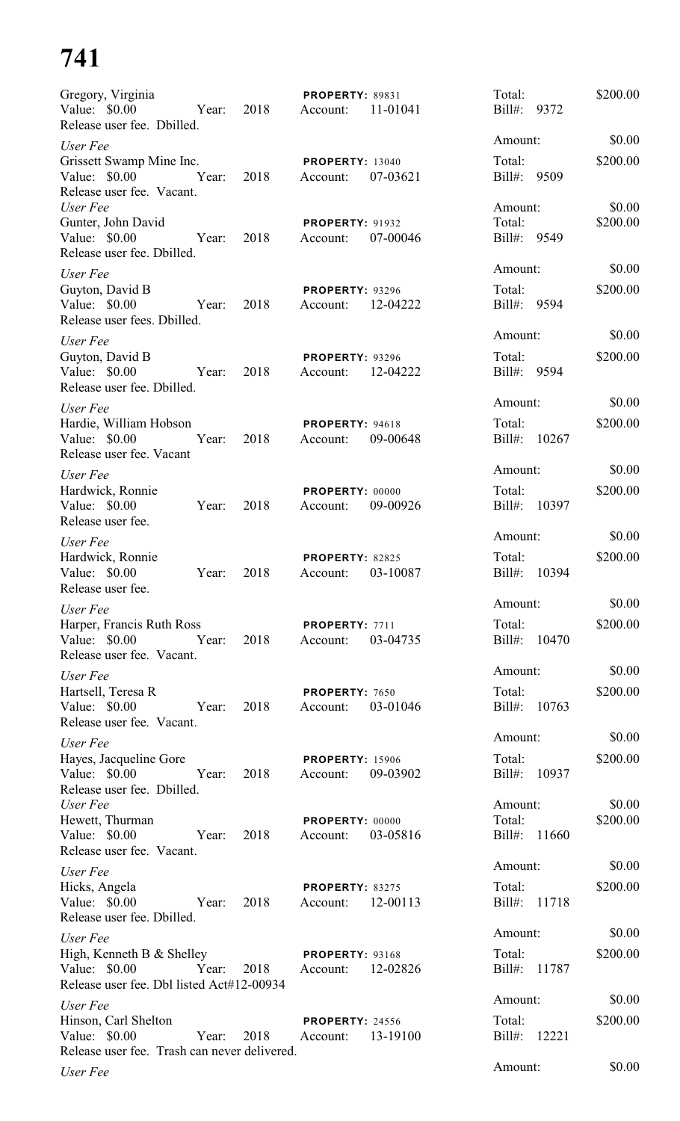| Gregory, Virginia<br>Value: $$0.00$<br>Year:<br>Release user fee. Dbilled.                                     | 2018 | PROPERTY: 89831<br>Account:        | 11-01041 | Total:<br>$Bill#$ :<br>9372             | \$200.00           |
|----------------------------------------------------------------------------------------------------------------|------|------------------------------------|----------|-----------------------------------------|--------------------|
| User Fee                                                                                                       |      |                                    |          | Amount:                                 | \$0.00             |
| Grissett Swamp Mine Inc.<br>Value: $$0.00$<br>Year:<br>Release user fee. Vacant.                               | 2018 | <b>PROPERTY: 13040</b><br>Account: | 07-03621 | Total:<br>Bill#: 9509                   | \$200.00           |
| User Fee<br>Gunter, John David<br>Value: $$0.00$<br>Year:<br>Release user fee. Dbilled.                        | 2018 | <b>PROPERTY: 91932</b><br>Account: | 07-00046 | Amount:<br>Total:<br>Bill#: 9549        | \$0.00<br>\$200.00 |
| User Fee<br>Guyton, David B<br>Value: \$0.00<br>Year:<br>Release user fees. Dbilled.                           | 2018 | <b>PROPERTY: 93296</b><br>Account: | 12-04222 | Amount:<br>Total:<br>Bill#: 9594        | \$0.00<br>\$200.00 |
| User Fee<br>Guyton, David B<br>Value: \$0.00<br>Year:<br>Release user fee. Dbilled.                            | 2018 | <b>PROPERTY: 93296</b><br>Account: | 12-04222 | Amount:<br>Total:<br>$Bill#$ :<br>9594  | \$0.00<br>\$200.00 |
| User Fee<br>Hardie, William Hobson<br>Value: \$0.00<br>Year:<br>Release user fee. Vacant                       | 2018 | PROPERTY: 94618<br>Account:        | 09-00648 | Amount:<br>Total:<br>$Bill#$ :<br>10267 | \$0.00<br>\$200.00 |
| User Fee<br>Hardwick, Ronnie<br>Value: $$0.00$<br>Year:<br>Release user fee.                                   | 2018 | PROPERTY: 00000<br>Account:        | 09-00926 | Amount:<br>Total:<br>$Bill#$ :<br>10397 | \$0.00<br>\$200.00 |
| User Fee<br>Hardwick, Ronnie<br>Value: \$0.00<br>Year:<br>Release user fee.                                    | 2018 | PROPERTY: 82825<br>Account:        | 03-10087 | Amount:<br>Total:<br>$Bill#$ :<br>10394 | \$0.00<br>\$200.00 |
| User Fee<br>Harper, Francis Ruth Ross<br>Value: \$0.00 Year:<br>Release user fee. Vacant.                      | 2018 | PROPERTY: 7711<br>Account:         | 03-04735 | Amount:<br>Total:<br>Bill#: 10470       | \$0.00<br>\$200.00 |
| User Fee<br>Hartsell, Teresa R<br>Value: \$0.00 Year:<br>Release user fee. Vacant.                             | 2018 | PROPERTY: 7650<br>Account:         | 03-01046 | Amount:<br>Total:<br>Bill#: 10763       | \$0.00<br>\$200.00 |
| User Fee<br>Hayes, Jacqueline Gore<br>Value: $$0.00$<br>Year:<br>Release user fee. Dbilled.                    | 2018 | <b>PROPERTY: 15906</b><br>Account: | 09-03902 | Amount:<br>Total:<br>Bill#: 10937       | \$0.00<br>\$200.00 |
| User Fee<br>Hewett, Thurman<br>Value: \$0.00<br>Year:<br>Release user fee. Vacant.                             | 2018 | PROPERTY: 00000<br>Account:        | 03-05816 | Amount:<br>Total:<br>Bill#: 11660       | \$0.00<br>\$200.00 |
| User Fee<br>Hicks, Angela<br>Value: \$0.00<br>Year:<br>Release user fee. Dbilled.                              | 2018 | PROPERTY: 83275<br>Account:        | 12-00113 | Amount:<br>Total:<br>$Bill#$ :<br>11718 | \$0.00<br>\$200.00 |
| User Fee<br>High, Kenneth B $&$ Shelley<br>Value: \$0.00<br>Year:<br>Release user fee. Dbl listed Act#12-00934 | 2018 | <b>PROPERTY: 93168</b><br>Account: | 12-02826 | Amount:<br>Total:<br>Bill#:<br>11787    | \$0.00<br>\$200.00 |
| User Fee<br>Hinson, Carl Shelton<br>Value: $$0.00$<br>Year:<br>Release user fee. Trash can never delivered.    | 2018 | <b>PROPERTY: 24556</b><br>Account: | 13-19100 | Amount:<br>Total:<br>$Bill#$ :<br>12221 | \$0.00<br>\$200.00 |
| User Fee                                                                                                       |      |                                    |          | Amount:                                 | \$0.00             |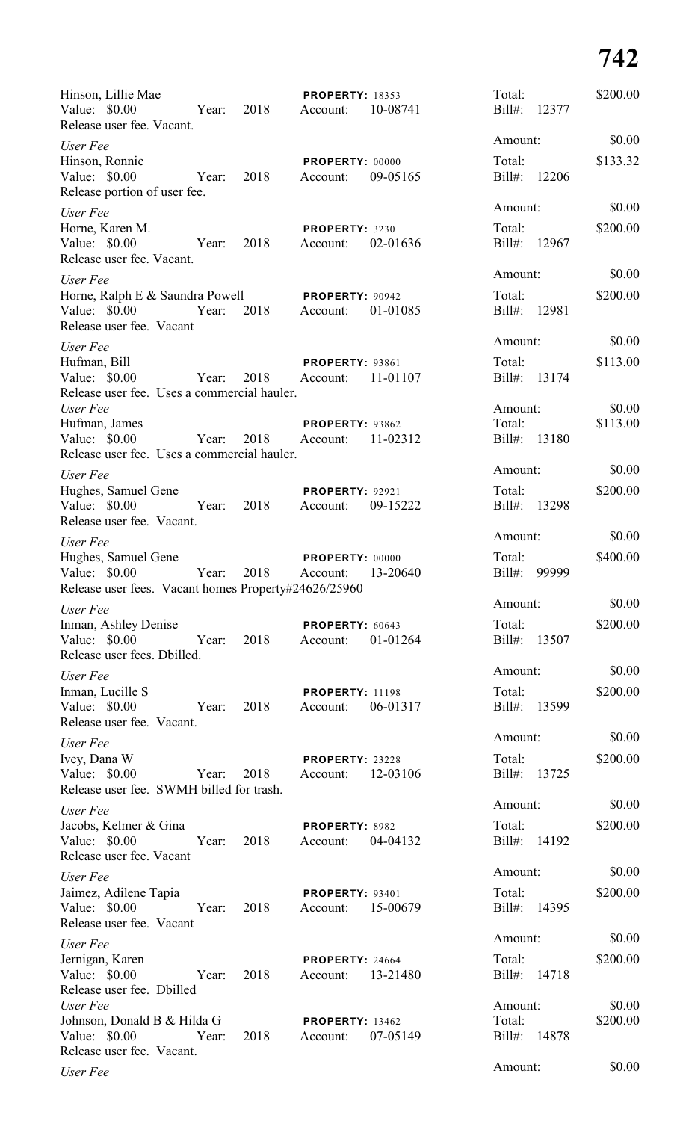| Hinson, Lillie Mae<br>Value: $$0.00$<br>Release user fee. Vacant.                            | Year: | 2018 | <b>PROPERTY: 18353</b><br>Account: | 10-08741 | Total:<br>Bill#:                  | 12377 | \$200.00           |
|----------------------------------------------------------------------------------------------|-------|------|------------------------------------|----------|-----------------------------------|-------|--------------------|
| User Fee                                                                                     |       |      |                                    |          | Amount:                           |       | \$0.00             |
| Hinson, Ronnie<br>Value: $$0.00$<br>Release portion of user fee.                             | Year: | 2018 | PROPERTY: 00000<br>Account:        | 09-05165 | Total:<br>Bill#:                  | 12206 | \$133.32           |
| User Fee                                                                                     |       |      |                                    |          | Amount:                           |       | \$0.00             |
| Horne, Karen M.<br>Value: \$0.00<br>Release user fee. Vacant.                                | Year: | 2018 | PROPERTY: 3230<br>Account:         | 02-01636 | Total:<br>Bill#:                  | 12967 | \$200.00           |
| User Fee                                                                                     |       |      |                                    |          | Amount:                           |       | \$0.00             |
| Horne, Ralph E & Saundra Powell<br>Value: $$0.00$<br>Release user fee. Vacant                | Year: | 2018 | PROPERTY: 90942<br>Account:        | 01-01085 | Total:<br>$Bill#$ :               | 12981 | \$200.00           |
| User Fee                                                                                     |       |      |                                    |          | Amount:                           |       | \$0.00             |
| Hufman, Bill<br>Value: $$0.00$<br>Release user fee. Uses a commercial hauler.                | Year: | 2018 | <b>PROPERTY: 93861</b><br>Account: | 11-01107 | Total:<br>$Bill#$ :               | 13174 | \$113.00           |
| User Fee                                                                                     |       |      |                                    |          | Amount:                           |       | \$0.00             |
| Hufman, James<br>Value: $$0.00$<br>Release user fee. Uses a commercial hauler.               | Year: | 2018 | PROPERTY: 93862<br>Account:        | 11-02312 | Total:<br>Bill#:                  | 13180 | \$113.00           |
| User Fee                                                                                     |       |      |                                    |          | Amount:                           |       | \$0.00             |
| Hughes, Samuel Gene<br>Value: \$0.00<br>Release user fee. Vacant.                            | Year: | 2018 | <b>PROPERTY: 92921</b><br>Account: | 09-15222 | Total:<br>$Bill#$ :               | 13298 | \$200.00           |
| User Fee                                                                                     |       |      |                                    |          | Amount:                           |       | \$0.00             |
| Hughes, Samuel Gene<br>Value: \$0.00<br>Release user fees. Vacant homes Property#24626/25960 | Year: | 2018 | PROPERTY: 00000<br>Account:        | 13-20640 | Total:<br>Bill#:                  | 99999 | \$400.00           |
| User Fee                                                                                     |       |      |                                    |          | Amount:                           |       | \$0.00             |
| Inman, Ashley Denise<br>Value: $$0.00$<br>Release user fees. Dbilled.                        | Year: | 2018 | PROPERTY: 60643<br>Account:        | 01-01264 | Total:<br>Bill#: 13507            |       | \$200.00           |
| User Fee                                                                                     |       |      |                                    |          | Amount:                           |       | \$0.00             |
| Inman, Lucille S<br>Value: \$0.00<br>Release user fee. Vacant.                               | Year: | 2018 | <b>PROPERTY: 11198</b><br>Account: | 06-01317 | Total:<br>Bill#: 13599            |       | \$200.00           |
| User Fee                                                                                     |       |      |                                    |          | Amount:                           |       | \$0.00             |
| Ivey, Dana W<br>Value: $$0.00$<br>Release user fee. SWMH billed for trash.                   | Year: | 2018 | PROPERTY: 23228<br>Account:        | 12-03106 | Total:<br>Bill#: 13725            |       | \$200.00           |
| User Fee                                                                                     |       |      |                                    |          | Amount:                           |       | \$0.00             |
| Jacobs, Kelmer & Gina<br>Value: \$0.00<br>Release user fee. Vacant                           | Year: | 2018 | PROPERTY: 8982<br>Account:         | 04-04132 | Total:<br>Bill#: 14192            |       | \$200.00           |
| User Fee                                                                                     |       |      |                                    |          | Amount:                           |       | \$0.00             |
| Jaimez, Adilene Tapia<br>Value: \$0.00<br>Release user fee. Vacant                           | Year: | 2018 | PROPERTY: 93401<br>Account:        | 15-00679 | Total:<br>Bill#: 14395            |       | \$200.00           |
| User Fee                                                                                     |       |      |                                    |          | Amount:                           |       | \$0.00             |
| Jernigan, Karen<br>Value: $$0.00$<br>Release user fee. Dbilled                               | Year: | 2018 | PROPERTY: 24664<br>Account:        | 13-21480 | Total:<br>Bill#: 14718            |       | \$200.00           |
| User Fee<br>Johnson, Donald B & Hilda G<br>Value: \$0.00<br>Release user fee. Vacant.        | Year: | 2018 | <b>PROPERTY: 13462</b><br>Account: | 07-05149 | Amount:<br>Total:<br>Bill#: 14878 |       | \$0.00<br>\$200.00 |
| User Fee                                                                                     |       |      |                                    |          | Amount:                           |       | \$0.00             |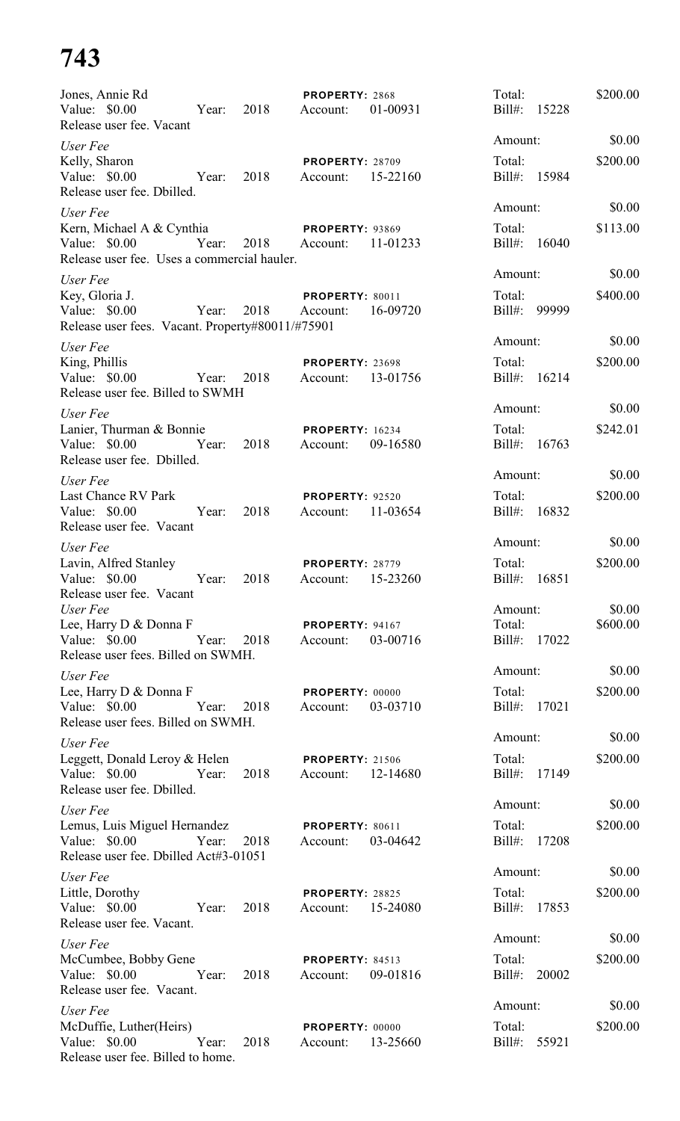| Jones, Annie Rd<br>Value: $$0.00$                                                         |            | Year: 2018    | PROPERTY: 2868<br>Account:         | 01-00931 | Total:<br>Bill#: 15228 |       | \$200.00 |
|-------------------------------------------------------------------------------------------|------------|---------------|------------------------------------|----------|------------------------|-------|----------|
| Release user fee. Vacant                                                                  |            |               |                                    |          |                        |       |          |
| User Fee                                                                                  |            |               |                                    |          | Amount:                |       | \$0.00   |
| Kelly, Sharon<br>Value: $$0.00$<br>Release user fee. Dbilled.                             | Year: 2018 |               | <b>PROPERTY: 28709</b><br>Account: | 15-22160 | Total:<br>Bill#: 15984 |       | \$200.00 |
| User Fee                                                                                  |            |               |                                    |          | Amount:                |       | \$0.00   |
| Kern, Michael A & Cynthia<br>Value: \$0.00<br>Release user fee. Uses a commercial hauler. | Year:      | 2018 Account: | <b>PROPERTY: 93869</b>             | 11-01233 | Total:<br>Bill#: 16040 |       | \$113.00 |
|                                                                                           |            |               |                                    |          | Amount:                |       | \$0.00   |
| User Fee<br>Key, Gloria J.<br>Value: $$0.00$                                              | Year: 2018 |               | PROPERTY: 80011<br>Account:        | 16-09720 | Total:<br>Bill#: 99999 |       | \$400.00 |
| Release user fees. Vacant. Property#80011/#75901                                          |            |               |                                    |          | Amount:                |       | \$0.00   |
| User Fee<br>King, Phillis                                                                 |            |               | PROPERTY: 23698                    |          | Total:                 |       | \$200.00 |
| Value: \$0.00<br>Release user fee. Billed to SWMH                                         | Year:      | 2018          | Account:                           | 13-01756 | Bill#: 16214           |       |          |
| User Fee                                                                                  |            |               |                                    |          | Amount:                |       | \$0.00   |
| Lanier, Thurman & Bonnie<br>Value: \$0.00<br>Release user fee. Dbilled.                   | Year:      | 2018          | <b>PROPERTY: 16234</b><br>Account: | 09-16580 | Total:<br>Bill#: 16763 |       | \$242.01 |
| User Fee                                                                                  |            |               |                                    |          | Amount:                |       | \$0.00   |
| Last Chance RV Park<br>Value: \$0.00<br>Release user fee. Vacant                          | Year:      | 2018          | <b>PROPERTY: 92520</b><br>Account: | 11-03654 | Total:<br>Bill#: 16832 |       | \$200.00 |
| User Fee                                                                                  |            |               |                                    |          | Amount:                |       | \$0.00   |
| Lavin, Alfred Stanley<br>Value: \$0.00<br>Release user fee. Vacant                        | Year:      | 2018          | PROPERTY: 28779<br>Account:        | 15-23260 | Total:<br>$Bill#$ :    | 16851 | \$200.00 |
| User Fee                                                                                  |            |               |                                    |          | Amount:                |       | \$0.00   |
| Lee, Harry D & Donna F<br>Value: \$0.00<br>Release user fees. Billed on SWMH.             | Year:      | 2018          | <b>PROPERTY: 94167</b><br>Account: | 03-00716 | Total:<br>Bill#: 17022 |       | \$600.00 |
| User Fee                                                                                  |            |               |                                    |          | Amount:                |       | \$0.00   |
| Lee, Harry D & Donna F<br>Value: \$0.00<br>Release user fees. Billed on SWMH.             | Year:      | 2018          | PROPERTY: 00000<br>Account:        | 03-03710 | Total:<br>Bill#: 17021 |       | \$200.00 |
| User Fee                                                                                  |            |               |                                    |          | Amount:                |       | \$0.00   |
| Leggett, Donald Leroy & Helen<br>Value: $$0.00$<br>Release user fee. Dbilled.             | Year:      | 2018          | <b>PROPERTY: 21506</b><br>Account: | 12-14680 | Total:<br>Bill#: 17149 |       | \$200.00 |
| User Fee                                                                                  |            |               |                                    |          | Amount:                |       | \$0.00   |
| Lemus, Luis Miguel Hernandez<br>Value: $$0.00$<br>Release user fee. Dbilled Act#3-01051   | Year:      | 2018          | PROPERTY: 80611<br>Account:        | 03-04642 | Total:<br>$Bill#$ :    | 17208 | \$200.00 |
| User Fee                                                                                  |            |               |                                    |          | Amount:                |       | \$0.00   |
| Little, Dorothy<br>Value: \$0.00<br>Release user fee. Vacant.                             | Year:      | 2018          | PROPERTY: 28825<br>Account:        | 15-24080 | Total:<br>$Bill#$ :    | 17853 | \$200.00 |
| User Fee                                                                                  |            |               |                                    |          | Amount:                |       | \$0.00   |
| McCumbee, Bobby Gene<br>Value: \$0.00<br>Release user fee. Vacant.                        | Year:      | 2018          | <b>PROPERTY: 84513</b><br>Account: | 09-01816 | Total:<br>$Bill#$ :    | 20002 | \$200.00 |
| User Fee                                                                                  |            |               |                                    |          | Amount:                |       | \$0.00   |
| McDuffie, Luther(Heirs)<br>Value: \$0.00<br>Release user fee. Billed to home.             | Year:      | 2018          | PROPERTY: 00000<br>Account:        | 13-25660 | Total:<br>$Bill#$ :    | 55921 | \$200.00 |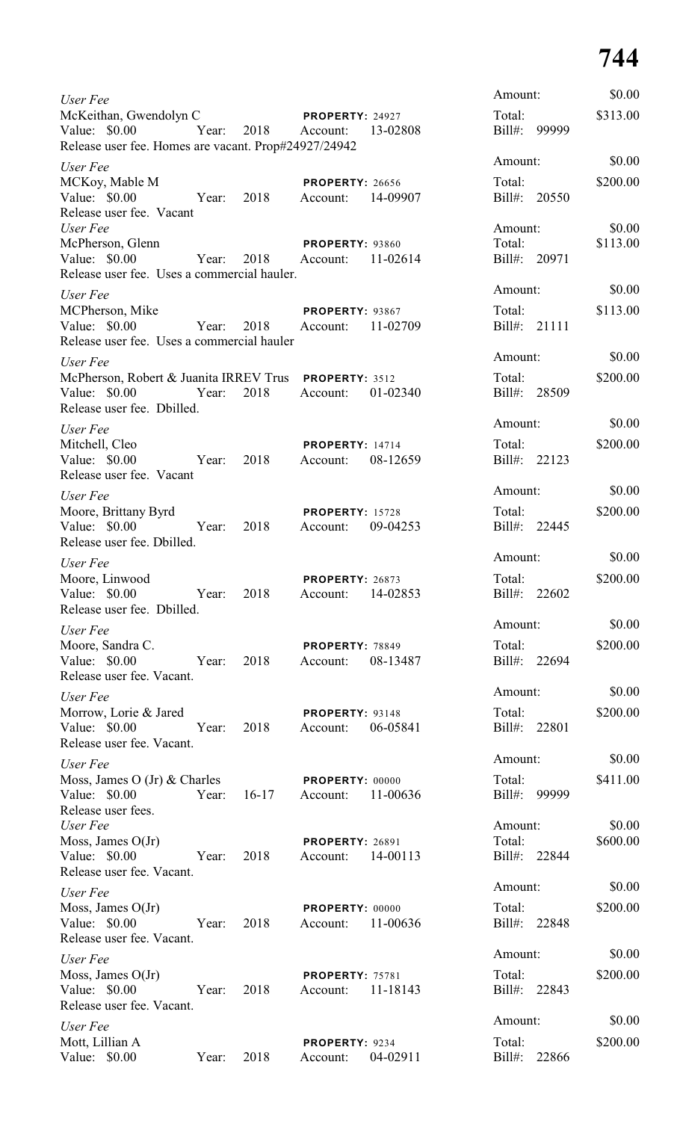| User Fee                                                                                              |       |         |                                    |          | Amount:                           |       | \$0.00             |
|-------------------------------------------------------------------------------------------------------|-------|---------|------------------------------------|----------|-----------------------------------|-------|--------------------|
| McKeithan, Gwendolyn C<br>Value: \$0.00 Year:<br>Release user fee. Homes are vacant. Prop#24927/24942 |       | 2018    | PROPERTY: 24927<br>Account:        | 13-02808 | Total:<br>Bill#: 99999            |       | \$313.00           |
| User Fee                                                                                              |       |         |                                    |          | Amount:                           |       | \$0.00             |
| MCKoy, Mable M<br>Value: \$0.00 Year:<br>Release user fee. Vacant                                     |       | 2018    | <b>PROPERTY: 26656</b><br>Account: | 14-09907 | Total:<br>Bill#: 20550            |       | \$200.00           |
| User Fee<br>McPherson, Glenn<br>Value: \$0.00<br>Release user fee. Uses a commercial hauler.          | Year: | 2018    | PROPERTY: 93860<br>Account:        | 11-02614 | Amount:<br>Total:<br>Bill#: 20971 |       | \$0.00<br>\$113.00 |
| User Fee                                                                                              |       |         |                                    |          | Amount:                           |       | \$0.00             |
| MCPherson, Mike<br>Value: \$0.00<br>Year:<br>Release user fee. Uses a commercial hauler               |       | 2018    | PROPERTY: 93867<br>Account:        | 11-02709 | Total:<br>Bill#: 21111            |       | \$113.00           |
| User Fee                                                                                              |       |         |                                    |          | Amount:                           |       | \$0.00             |
| McPherson, Robert & Juanita IRREV Trus PROPERTY: 3512<br>Value: \$0.00<br>Release user fee. Dbilled.  | Year: | 2018    | Account: 01-02340                  |          | Total:<br>Bill#: 28509            |       | \$200.00           |
| User Fee                                                                                              |       |         |                                    |          | Amount:                           |       | \$0.00             |
| Mitchell, Cleo<br>Value: \$0.00<br>Release user fee. Vacant                                           | Year: | 2018    | <b>PROPERTY: 14714</b><br>Account: | 08-12659 | Total:<br>Bill#: 22123            |       | \$200.00           |
| User Fee                                                                                              |       |         |                                    |          | Amount:                           |       | \$0.00             |
| Moore, Brittany Byrd<br>Value: \$0.00 Year:<br>Release user fee. Dbilled.                             |       | 2018    | <b>PROPERTY: 15728</b><br>Account: | 09-04253 | Total:<br>Bill#: 22445            |       | \$200.00           |
| User Fee                                                                                              |       |         |                                    |          | Amount:                           |       | \$0.00             |
| Moore, Linwood<br>Value: \$0.00<br>Release user fee. Dbilled.                                         | Year: | 2018    | PROPERTY: 26873<br>Account:        | 14-02853 | Total:<br>Bill#: 22602            |       | \$200.00           |
| User Fee                                                                                              |       |         |                                    |          | Amount:                           |       | \$0.00             |
| Moore, Sandra C.<br>Value: \$0.00<br>Release user fee. Vacant.                                        | Year: | 2018    | <b>PROPERTY: 78849</b><br>Account: | 08-13487 | Total:<br>Bill#: 22694            |       | \$200.00           |
| User Fee                                                                                              |       |         |                                    |          | Amount:                           |       | \$0.00             |
| Morrow, Lorie & Jared<br>Value: \$0.00<br>Release user fee. Vacant.                                   | Year: | 2018    | PROPERTY: 93148<br>Account:        | 06-05841 | Total:<br>Bill#: 22801            |       | \$200.00           |
| User Fee                                                                                              |       |         |                                    |          | Amount:                           |       | \$0.00             |
| Moss, James O (Jr) & Charles<br>Value: \$0.00<br>Release user fees.                                   | Year: | $16-17$ | PROPERTY: 00000<br>Account:        | 11-00636 | Total:<br>Bill#: 99999            |       | \$411.00           |
| User Fee<br>Moss, James $O(Jr)$<br>Value: \$0.00 Year:<br>Release user fee. Vacant.                   |       | 2018    | <b>PROPERTY: 26891</b><br>Account: | 14-00113 | Amount:<br>Total:<br>Bill#: 22844 |       | \$0.00<br>\$600.00 |
| User Fee                                                                                              |       |         |                                    |          | Amount:                           |       | \$0.00             |
| Moss, James $O(Jr)$<br>Value: \$0.00<br>Year:<br>Release user fee. Vacant.                            |       | 2018    | PROPERTY: 00000<br>Account:        | 11-00636 | Total:<br>Bill#: 22848            |       | \$200.00           |
| User Fee                                                                                              |       |         |                                    |          | Amount:                           |       | \$0.00             |
| Moss, James $O(Jr)$<br>Value: \$0.00<br>Year:<br>Release user fee. Vacant.                            |       | 2018    | PROPERTY: 75781<br>Account:        | 11-18143 | Total:<br>Bill#: 22843            |       | \$200.00           |
| User Fee                                                                                              |       |         |                                    |          | Amount:                           |       | \$0.00             |
| Mott, Lillian A<br>Value: \$0.00                                                                      | Year: | 2018    | PROPERTY: 9234<br>Account:         | 04-02911 | Total:<br>Bill#:                  | 22866 | \$200.00           |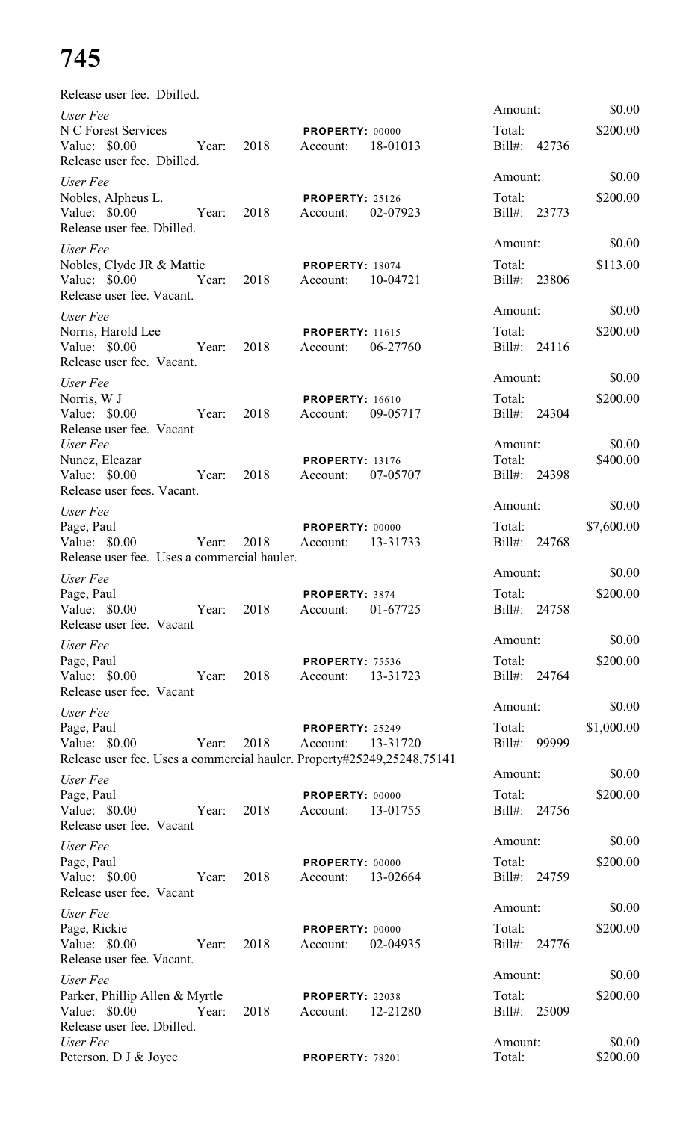| Release user fee. Dbilled.                                                              |       |      |                                    |          |                        |       |                    |
|-----------------------------------------------------------------------------------------|-------|------|------------------------------------|----------|------------------------|-------|--------------------|
| User Fee                                                                                |       |      |                                    |          | Amount:                |       | \$0.00             |
| N C Forest Services<br>Value: $$0.00$<br>Release user fee. Dbilled.                     | Year: | 2018 | PROPERTY: 00000<br>Account:        | 18-01013 | Total:<br>Bill#: 42736 |       | \$200.00           |
|                                                                                         |       |      |                                    |          | Amount:                |       | \$0.00             |
| User Fee<br>Nobles, Alpheus L.                                                          |       |      | <b>PROPERTY: 25126</b>             |          | Total:                 |       | \$200.00           |
| Value: $$0.00$<br>Release user fee. Dbilled.                                            | Year: | 2018 | Account:                           | 02-07923 | $Bill#$ :              | 23773 |                    |
| User Fee                                                                                |       |      |                                    |          | Amount:                |       | \$0.00             |
| Nobles, Clyde JR & Mattie<br>Value: \$0.00<br>Release user fee. Vacant.                 | Year: | 2018 | <b>PROPERTY: 18074</b><br>Account: | 10-04721 | Total:<br>$Bill#$ :    | 23806 | \$113.00           |
| User Fee                                                                                |       |      |                                    |          | Amount:                |       | \$0.00             |
| Norris, Harold Lee<br>Value: \$0.00<br>Release user fee. Vacant.                        | Year: | 2018 | <b>PROPERTY: 11615</b><br>Account: | 06-27760 | Total:<br>Bill#: 24116 |       | \$200.00           |
| User Fee                                                                                |       |      |                                    |          | Amount:                |       | \$0.00             |
| Norris, W J                                                                             |       |      | <b>PROPERTY: 16610</b>             |          | Total:                 |       | \$200.00           |
| Value: \$0.00<br>Release user fee. Vacant                                               | Year: | 2018 | Account:                           | 09-05717 | Bill#: 24304           |       |                    |
| User Fee                                                                                |       |      |                                    |          | Amount:                |       | \$0.00             |
| Nunez, Eleazar<br>Value: $$0.00$                                                        | Year: | 2018 | <b>PROPERTY: 13176</b><br>Account: | 07-05707 | Total:<br>Bill#: 24398 |       | \$400.00           |
| Release user fees. Vacant.                                                              |       |      |                                    |          |                        |       |                    |
| User Fee                                                                                |       |      |                                    |          | Amount:                |       | \$0.00             |
| Page, Paul                                                                              |       |      | PROPERTY: 00000                    |          | Total:                 |       | \$7,600.00         |
| Value: \$0.00                                                                           | Year: | 2018 | Account:                           | 13-31733 | Bill#: 24768           |       |                    |
| Release user fee. Uses a commercial hauler.                                             |       |      |                                    |          | Amount:                |       | \$0.00             |
| User Fee<br>Page, Paul                                                                  |       |      | PROPERTY: 3874                     |          | Total:                 |       | \$200.00           |
| Value: $$0.00$<br>Release user fee. Vacant                                              | Year: | 2018 | Account:                           | 01-67725 | Bill#: 24758           |       |                    |
| User Fee                                                                                |       |      |                                    |          | Amount:                |       | \$0.00             |
| Page, Paul                                                                              |       |      | <b>PROPERTY: 75536</b>             |          | Total:                 |       | \$200.00           |
| Value: \$0.00<br>Release user fee. Vacant                                               | Year: | 2018 | Account:                           | 13-31723 | Bill#: 24764           |       |                    |
| User Fee                                                                                |       |      |                                    |          | Amount:                |       | \$0.00             |
| Page, Paul                                                                              |       |      | <b>PROPERTY: 25249</b>             |          | Total:                 |       | \$1,000.00         |
| Value: \$0.00<br>Release user fee. Uses a commercial hauler. Property#25249,25248,75141 | Year: | 2018 | Account:                           | 13-31720 | Bill#: 99999           |       |                    |
| User Fee                                                                                |       |      |                                    |          | Amount:                |       | \$0.00             |
| Page, Paul                                                                              |       |      | PROPERTY: 00000                    |          | Total:                 |       | \$200.00           |
| Value: $$0.00$<br>Release user fee. Vacant                                              | Year: | 2018 | Account:                           | 13-01755 | Bill#: 24756           |       |                    |
| User Fee                                                                                |       |      |                                    |          | Amount:                |       | \$0.00             |
| Page, Paul                                                                              |       |      | PROPERTY: 00000                    |          | Total:                 |       | \$200.00           |
| Value: \$0.00<br>Release user fee. Vacant                                               | Year: | 2018 | Account:                           | 13-02664 | Bill#: 24759           |       |                    |
| User Fee                                                                                |       |      |                                    |          | Amount:                |       | \$0.00             |
| Page, Rickie<br>Value: $$0.00$<br>Release user fee. Vacant.                             | Year: | 2018 | PROPERTY: 00000<br>Account:        | 02-04935 | Total:<br>Bill#: 24776 |       | \$200.00           |
| User Fee                                                                                |       |      |                                    |          | Amount:                |       | \$0.00             |
| Parker, Phillip Allen & Myrtle                                                          |       |      | PROPERTY: 22038                    |          | Total:                 |       | \$200.00           |
| Value: \$0.00                                                                           | Year: | 2018 | Account:                           | 12-21280 | $Bill#$ :              | 25009 |                    |
| Release user fee. Dbilled.                                                              |       |      |                                    |          |                        |       |                    |
| User Fee<br>Peterson, D J & Joyce                                                       |       |      | PROPERTY: 78201                    |          | Amount:<br>Total:      |       | \$0.00<br>\$200.00 |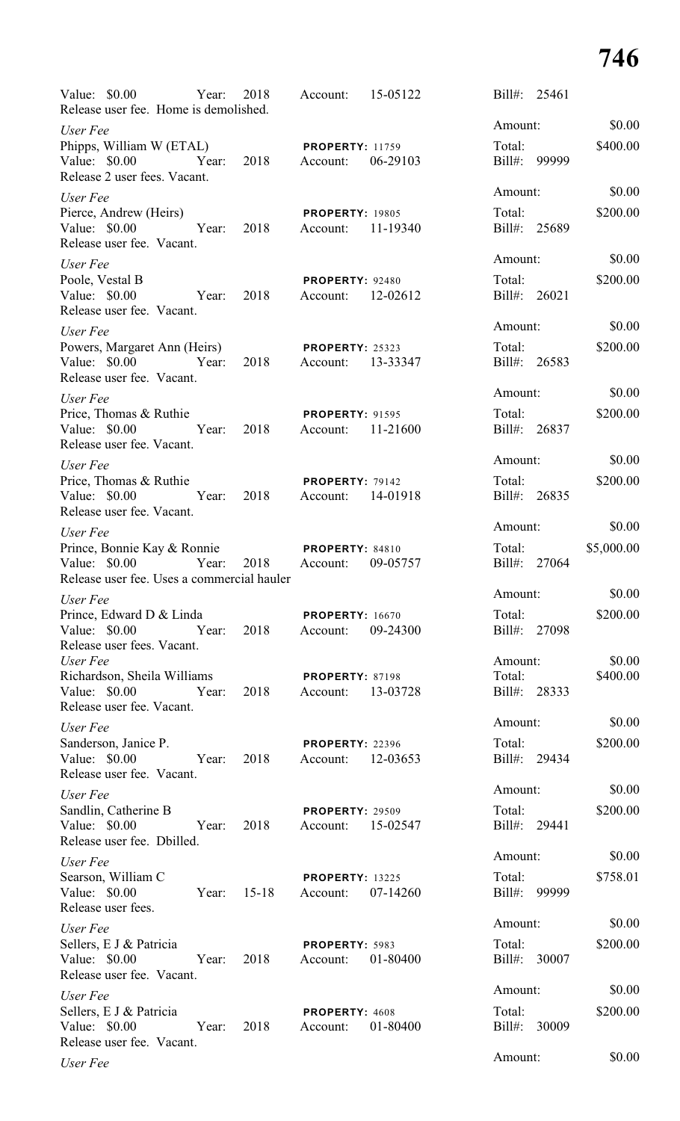| Value: \$0.00 Year:<br>Release user fee. Home is demolished.                                  |       | 2018                | Account:                                         | 15-05122 |         | Bill#: 25461 |            |
|-----------------------------------------------------------------------------------------------|-------|---------------------|--------------------------------------------------|----------|---------|--------------|------------|
| User Fee                                                                                      |       |                     |                                                  |          | Amount: |              | \$0.00     |
| Phipps, William W (ETAL)<br>Value: \$0.00 Year: 2018 Account:<br>Release 2 user fees. Vacant. |       |                     | <b>PROPERTY: 11759</b>                           | 06-29103 | Total:  | Bill#: 99999 | \$400.00   |
| User Fee                                                                                      |       |                     |                                                  |          | Amount: |              | \$0.00     |
| Pierce, Andrew (Heirs)<br>Value: \$0.00<br>Release user fee. Vacant.                          | Year: |                     | <b>PROPERTY: 19805</b><br>2018 Account:          | 11-19340 | Total:  | Bill#: 25689 | \$200.00   |
| User Fee                                                                                      |       |                     |                                                  |          | Amount: |              | \$0.00     |
| Poole, Vestal B<br>Value: $$0.00$<br>Release user fee. Vacant.                                |       | Year: 2018 Account: | <b>PROPERTY: 92480</b>                           | 12-02612 | Total:  | Bill#: 26021 | \$200.00   |
| User Fee                                                                                      |       |                     |                                                  |          | Amount: |              | \$0.00     |
| Powers, Margaret Ann (Heirs)<br>Value: \$0.00<br>Release user fee. Vacant.                    |       | Year: 2018 Account: | <b>PROPERTY: 25323</b>                           | 13-33347 | Total:  | Bill#: 26583 | \$200.00   |
| User Fee                                                                                      |       |                     |                                                  |          | Amount: |              | \$0.00     |
| Price, Thomas & Ruthie<br>Value: \$0.00<br>Release user fee. Vacant.                          | Year: |                     | <b>PROPERTY: 91595</b><br>2018 Account: 11-21600 |          | Total:  | Bill#: 26837 | \$200.00   |
| User Fee                                                                                      |       |                     |                                                  |          | Amount: |              | \$0.00     |
| Price, Thomas & Ruthie<br>Value: \$0.00<br>Release user fee. Vacant.                          |       |                     | PROPERTY: 79142<br>Year: 2018 Account: 14-01918  |          | Total:  | Bill#: 26835 | \$200.00   |
| User Fee                                                                                      |       |                     |                                                  |          | Amount: |              | \$0.00     |
| Prince, Bonnie Kay & Ronnie<br>Value: \$0.00<br>Release user fee. Uses a commercial hauler    | Year: |                     | <b>PROPERTY: 84810</b><br>2018 Account:          | 09-05757 | Total:  | Bill#: 27064 | \$5,000.00 |
| User Fee                                                                                      |       |                     |                                                  |          | Amount: |              | \$0.00     |
| Prince, Edward D & Linda<br>Value: \$0.00 Year:                                               |       | 2018                | <b>PROPERTY: 16670</b><br>Account:               | 09-24300 | Total:  | Bill#: 27098 | \$200.00   |
| Release user fees. Vacant.<br>User Fee                                                        |       |                     |                                                  |          | Amount: |              | \$0.00     |
| Richardson, Sheila Williams                                                                   |       |                     | <b>PROPERTY: 87198</b>                           |          | Total:  |              | \$400.00   |
| Value: \$0.00<br>Release user fee. Vacant.                                                    | Year: | 2018                | Account: 13-03728                                |          |         | Bill#: 28333 |            |
| User Fee                                                                                      |       |                     |                                                  |          | Amount: |              | \$0.00     |
| Sanderson, Janice P.<br>Value: \$0.00<br>Release user fee. Vacant.                            | Year: | 2018                | <b>PROPERTY: 22396</b><br>Account: 12-03653      |          | Total:  | Bill#: 29434 | \$200.00   |
| User Fee                                                                                      |       |                     |                                                  |          | Amount: |              | \$0.00     |
| Sandlin, Catherine B<br>Value: \$0.00<br>Release user fee. Dbilled.                           | Year: | 2018                | <b>PROPERTY: 29509</b><br>Account: 15-02547      |          | Total:  | Bill#: 29441 | \$200.00   |
| User Fee                                                                                      |       |                     |                                                  |          | Amount: |              | \$0.00     |
| Searson, William C<br>Value: $$0.00$<br>Release user fees.                                    | Year: | $15-18$             | <b>PROPERTY: 13225</b><br>Account: 07-14260      |          | Total:  | Bill#: 99999 | \$758.01   |
| User Fee                                                                                      |       |                     |                                                  |          | Amount: |              | \$0.00     |
| Sellers, E J & Patricia<br>Value: \$0.00<br>Release user fee. Vacant.                         | Year: | 2018                | PROPERTY: 5983<br>Account: 01-80400              |          | Total:  | Bill#: 30007 | \$200.00   |
| User Fee                                                                                      |       |                     |                                                  |          | Amount: |              | \$0.00     |
| Sellers, E J & Patricia<br>Value: \$0.00<br>Release user fee. Vacant.                         | Year: | 2018                | PROPERTY: 4608<br>Account:                       | 01-80400 | Total:  | Bill#: 30009 | \$200.00   |
| User Fee                                                                                      |       |                     |                                                  |          | Amount: |              | \$0.00     |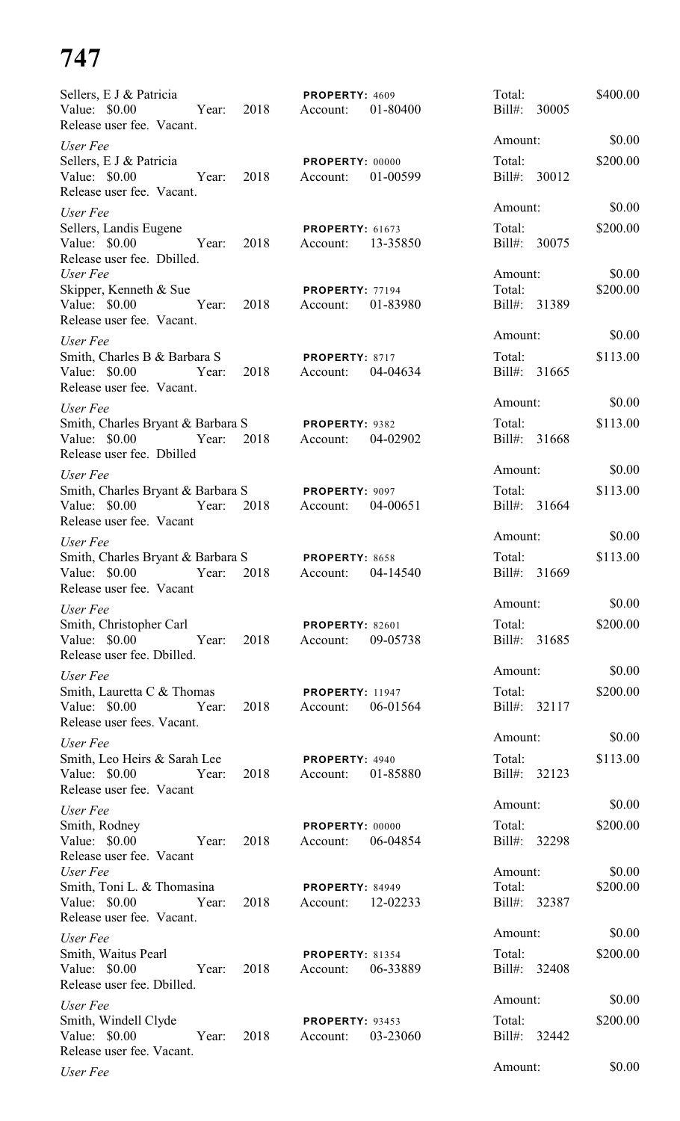| Sellers, E J & Patricia                                                                       |            | PROPERTY: 4609                                 | Total:                    | \$400.00 |
|-----------------------------------------------------------------------------------------------|------------|------------------------------------------------|---------------------------|----------|
| Value: $$0.00$<br>Release user fee. Vacant.                                                   | Year: 2018 | Account:<br>01-80400                           | Bill#: 30005              |          |
| User Fee                                                                                      |            |                                                | Amount:                   | \$0.00   |
| Sellers, E J & Patricia<br>Value: \$0.00<br>Year:<br>Release user fee. Vacant.                | 2018       | <b>PROPERTY: 00000</b><br>01-00599<br>Account: | Total:<br>Bill#: 30012    | \$200.00 |
| User Fee                                                                                      |            |                                                | Amount:                   | \$0.00   |
| Sellers, Landis Eugene<br>Value: \$0.00<br>Year:<br>Release user fee. Dbilled.                | 2018       | PROPERTY: 61673<br>Account: 13-35850           | Total:<br>Bill#: 30075    | \$200.00 |
| User Fee                                                                                      |            |                                                | Amount:                   | \$0.00   |
| Skipper, Kenneth & Sue<br>Value: \$0.00<br>Year:<br>Release user fee. Vacant.                 | 2018       | PROPERTY: 77194<br>01-83980<br>Account:        | Total:<br>Bill#: 31389    | \$200.00 |
| User Fee                                                                                      |            |                                                | Amount:                   | \$0.00   |
| Smith, Charles B & Barbara S<br>Value: \$0.00<br>Year:<br>Release user fee. Vacant.           | 2018       | PROPERTY: 8717<br>04-04634<br>Account:         | Total:<br>Bill#: 31665    | \$113.00 |
| User Fee                                                                                      |            |                                                | Amount:                   | \$0.00   |
| Smith, Charles Bryant & Barbara S<br>Value: \$0.00<br>Year:<br>Release user fee. Dbilled      | 2018       | PROPERTY: 9382<br>04-02902<br>Account:         | Total:<br>Bill#: 31668    | \$113.00 |
| User Fee                                                                                      |            |                                                | Amount:                   | \$0.00   |
| Smith, Charles Bryant & Barbara S<br>Value: \$0.00<br>Year:                                   | 2018       | PROPERTY: 9097<br>04-00651<br>Account:         | Total:<br>Bill#: 31664    | \$113.00 |
| Release user fee. Vacant<br>User Fee                                                          |            |                                                | Amount:                   | \$0.00   |
| Smith, Charles Bryant & Barbara S<br>Value: \$0.00<br>Year:<br>Release user fee. Vacant       | 2018       | PROPERTY: 8658<br>04-14540<br>Account:         | Total:<br>Bill#:<br>31669 | \$113.00 |
| User Fee                                                                                      |            |                                                | Amount:                   | \$0.00   |
| Smith, Christopher Carl<br>Value: \$0.00<br>Year:<br>Release user fee. Dbilled.               | 2018       | <b>PROPERTY: 82601</b><br>09-05738<br>Account: | Total:<br>Bill#: 31685    | \$200.00 |
| User Fee                                                                                      |            |                                                | Amount:                   | \$0.00   |
| Smith, Lauretta C & Thomas<br>Value: \$0.00 Year:<br>Release user fees. Vacant.               | 2018       | <b>PROPERTY: 11947</b><br>06-01564<br>Account: | Total:<br>Bill#: 32117    | \$200.00 |
| User Fee                                                                                      |            |                                                | Amount:                   | \$0.00   |
| Smith, Leo Heirs & Sarah Lee<br>Value: \$0.00 Year:<br>Release user fee. Vacant               | 2018       | PROPERTY: 4940<br>01-85880<br>Account:         | Total:<br>Bill#: 32123    | \$113.00 |
| User Fee                                                                                      |            |                                                | Amount:                   | \$0.00   |
| Smith, Rodney<br>Value: \$0.00 Year:<br>Release user fee. Vacant                              | 2018       | PROPERTY: 00000<br>06-04854<br>Account:        | Total:<br>Bill#: 32298    | \$200.00 |
| User Fee                                                                                      |            |                                                | Amount:                   | \$0.00   |
| Smith, Toni L. & Thomasina<br>Value: \$0.00 Year: 2018<br>Release user fee. Vacant.           |            | <b>PROPERTY: 84949</b><br>12-02233<br>Account: | Total:<br>Bill#: 32387    | \$200.00 |
| User Fee                                                                                      |            |                                                | Amount:                   | \$0.00   |
| Smith, Waitus Pearl<br>Value: \$0.00<br><b>Example 18</b> Year:<br>Release user fee. Dbilled. | 2018       | <b>PROPERTY: 81354</b><br>06-33889<br>Account: | Total:<br>Bill#: 32408    | \$200.00 |
| User Fee                                                                                      |            |                                                | Amount:                   | \$0.00   |
| Smith, Windell Clyde<br>Value: \$0.00<br>Year:<br>Release user fee. Vacant.                   | 2018       | PROPERTY: 93453<br>03-23060<br>Account:        | Total:<br>Bill#: 32442    | \$200.00 |
| User Fee                                                                                      |            |                                                | Amount:                   | \$0.00   |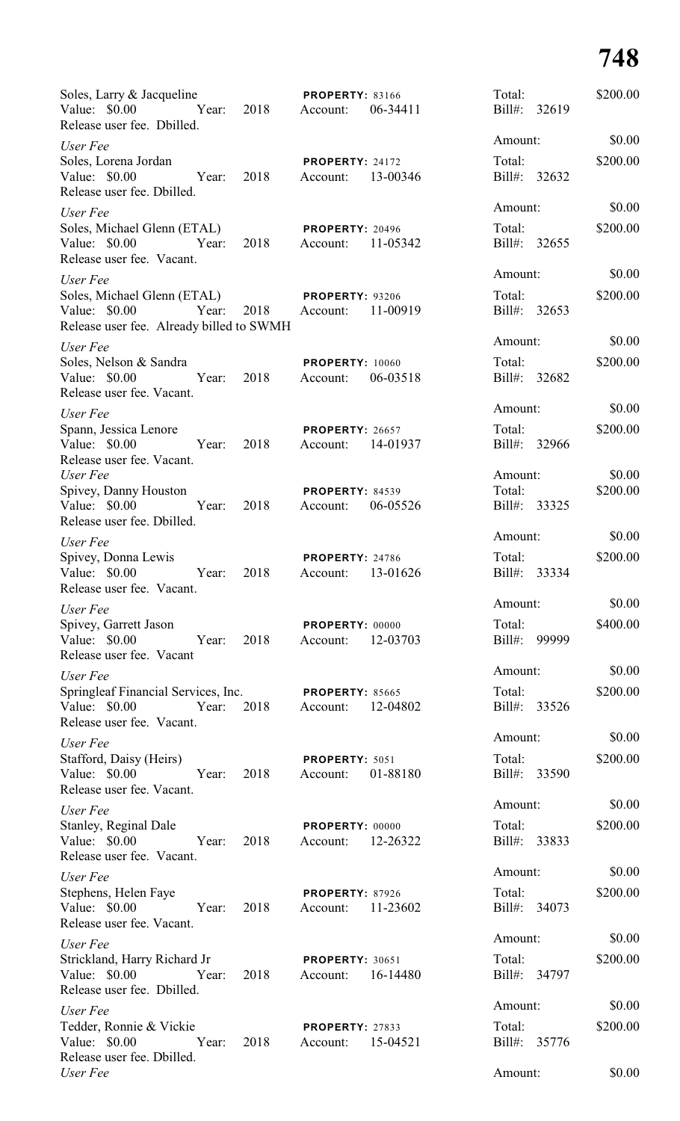| Soles, Larry & Jacqueline<br>Value: \$0.00<br>Year:<br>Release user fee. Dbilled.                 | <b>PROPERTY: 83166</b><br>2018<br>Account:          | 06-34411 | Total:<br>Bill#:<br>32619 | \$200.00 |
|---------------------------------------------------------------------------------------------------|-----------------------------------------------------|----------|---------------------------|----------|
| User Fee                                                                                          |                                                     |          | Amount:                   | \$0.00   |
| Soles, Lorena Jordan<br>Value: \$0.00<br>Year:<br>Release user fee. Dbilled.                      | PROPERTY: 24172<br>2018<br>Account:                 | 13-00346 | Total:<br>Bill#: 32632    | \$200.00 |
| User Fee                                                                                          |                                                     |          | Amount:                   | \$0.00   |
| Soles, Michael Glenn (ETAL)<br>Value: \$0.00<br>Year:<br>Release user fee. Vacant.                | <b>PROPERTY: 20496</b><br>2018<br>Account:          | 11-05342 | Total:<br>Bill#: 32655    | \$200.00 |
| User Fee                                                                                          |                                                     |          | Amount:                   | \$0.00   |
| Soles, Michael Glenn (ETAL)<br>Value: \$0.00<br>Year:<br>Release user fee. Already billed to SWMH | <b>PROPERTY: 93206</b><br>2018<br>Account:          | 11-00919 | Total:<br>Bill#: 32653    | \$200.00 |
| User Fee                                                                                          |                                                     |          | Amount:                   | \$0.00   |
| Soles, Nelson & Sandra<br>Year:<br>Value: $$0.00$<br>Release user fee. Vacant.                    | <b>PROPERTY: 10060</b><br>2018<br>Account:          | 06-03518 | Total:<br>Bill#: 32682    | \$200.00 |
| User Fee                                                                                          |                                                     |          | Amount:                   | \$0.00   |
| Spann, Jessica Lenore<br>Value: \$0.00<br>Year:<br>Release user fee. Vacant.                      | <b>PROPERTY: 26657</b><br>2018<br>Account: 14-01937 |          | Total:<br>Bill#: 32966    | \$200.00 |
| User Fee                                                                                          |                                                     |          | Amount:                   | \$0.00   |
| Spivey, Danny Houston<br>Value: \$0.00<br>Year:<br>Release user fee. Dbilled.                     | <b>PROPERTY: 84539</b><br>2018<br>Account:          | 06-05526 | Total:<br>Bill#: 33325    | \$200.00 |
| User Fee                                                                                          |                                                     |          | Amount:                   | \$0.00   |
| Spivey, Donna Lewis<br>Value: \$0.00<br>Year:<br>Release user fee. Vacant.                        | PROPERTY: 24786<br>2018<br>Account:                 | 13-01626 | Total:<br>Bill#:<br>33334 | \$200.00 |
| User Fee                                                                                          |                                                     |          | Amount:                   | \$0.00   |
| Spivey, Garrett Jason<br>Value: \$0.00<br>Year:<br>Release user fee. Vacant                       | PROPERTY: 00000<br>2018<br>Account:                 | 12-03703 | Total:<br>Bill#:<br>99999 | \$400.00 |
| User Fee                                                                                          |                                                     |          | Amount:                   | \$0.00   |
| Springleaf Financial Services, Inc.<br>Value: \$0.00<br>Year:<br>Release user fee. Vacant.        | <b>PROPERTY: 85665</b><br>2018<br>Account:          | 12-04802 | Total:<br>Bill#:<br>33526 | \$200.00 |
| User Fee                                                                                          |                                                     |          | Amount:                   | \$0.00   |
| Stafford, Daisy (Heirs)<br>Value: \$0.00<br>Year:<br>Release user fee. Vacant.                    | PROPERTY: 5051<br>2018<br>Account:                  | 01-88180 | Total:<br>Bill#:<br>33590 | \$200.00 |
| User Fee                                                                                          |                                                     |          | Amount:                   | \$0.00   |
| Stanley, Reginal Dale<br>Value: \$0.00<br>Year:<br>Release user fee. Vacant.                      | PROPERTY: 00000<br>2018<br>Account:                 | 12-26322 | Total:<br>Bill#:<br>33833 | \$200.00 |
| User Fee                                                                                          |                                                     |          | Amount:                   | \$0.00   |
| Stephens, Helen Faye<br>Value: $$0.00$<br>Year:<br>Release user fee. Vacant.                      | PROPERTY: 87926<br>2018<br>Account:                 | 11-23602 | Total:<br>Bill#: 34073    | \$200.00 |
| User Fee                                                                                          |                                                     |          | Amount:                   | \$0.00   |
| Strickland, Harry Richard Jr<br>Value: \$0.00<br>Year:<br>Release user fee. Dbilled.              | <b>PROPERTY: 30651</b><br>2018<br>Account:          | 16-14480 | Total:<br>Bill#: 34797    | \$200.00 |
| User Fee                                                                                          |                                                     |          | Amount:                   | \$0.00   |
| Tedder, Ronnie & Vickie<br>Value: \$0.00<br>Year:<br>Release user fee. Dbilled.                   | <b>PROPERTY: 27833</b><br>2018<br>Account:          | 15-04521 | Total:<br>Bill#: 35776    | \$200.00 |
| User Fee                                                                                          |                                                     |          | Amount:                   | \$0.00   |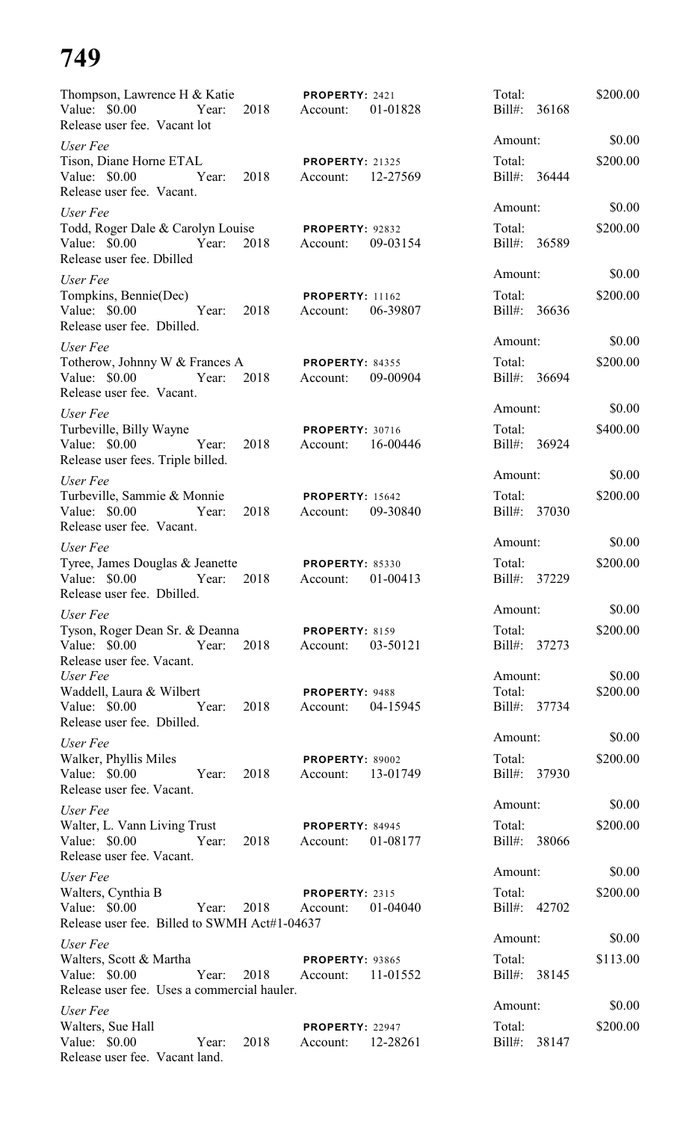| Thompson, Lawrence H & Katie PROPERTY: 2421                                                           |               |                                             |          | Total:                 |       | \$200.00 |
|-------------------------------------------------------------------------------------------------------|---------------|---------------------------------------------|----------|------------------------|-------|----------|
| Value: \$0.00<br>Release user fee. Vacant lot                                                         | Year: 2018    | Account:                                    | 01-01828 | Bill#: 36168           |       |          |
| User Fee                                                                                              |               |                                             |          | Amount:                |       | \$0.00   |
| Tison, Diane Horne ETAL<br>Value: \$0.00 Year: 2018<br>Release user fee. Vacant.                      |               | <b>PROPERTY: 21325</b><br>Account:          | 12-27569 | Total:<br>Bill#: 36444 |       | \$200.00 |
| User Fee                                                                                              |               |                                             |          | Amount:                |       | \$0.00   |
| Todd, Roger Dale & Carolyn Louise PROPERTY: 92832<br>Value: $$0.00$<br>Year:                          | 2018          | Account:                                    | 09-03154 | Total:<br>Bill#: 36589 |       | \$200.00 |
| Release user fee. Dbilled                                                                             |               |                                             |          | Amount:                |       | \$0.00   |
| User Fee                                                                                              |               |                                             |          |                        |       |          |
| Tompkins, Bennie(Dec)<br>Value: \$0.00<br>Year:<br>Release user fee. Dbilled.                         | 2018          | <b>PROPERTY: 11162</b><br>Account:          | 06-39807 | Total:<br>Bill#: 36636 |       | \$200.00 |
| User Fee                                                                                              |               |                                             |          | Amount:                |       | \$0.00   |
| Totherow, Johnny W & Frances A PROPERTY: 84355<br>Value: \$0.00<br>Year:<br>Release user fee. Vacant. | 2018          | Account: 09-00904                           |          | Total:<br>Bill#: 36694 |       | \$200.00 |
| User Fee                                                                                              |               |                                             |          | Amount:                |       | \$0.00   |
| Turbeville, Billy Wayne<br>Value: \$0.00<br>Year:<br>Release user fees. Triple billed.                | 2018          | <b>PROPERTY: 30716</b><br>Account: 16-00446 |          | Total:<br>Bill#: 36924 |       | \$400.00 |
| User Fee                                                                                              |               |                                             |          | Amount:                |       | \$0.00   |
| Turbeville, Sammie & Monnie<br>Value: $$0.00$<br>Year:<br>Release user fee. Vacant.                   | 2018          | <b>PROPERTY: 15642</b><br>Account: 09-30840 |          | Total:<br>Bill#: 37030 |       | \$200.00 |
| User Fee                                                                                              |               |                                             |          | Amount:                |       | \$0.00   |
| Tyree, James Douglas & Jeanette<br>Value: \$0.00<br>Year:<br>Release user fee. Dbilled.               | 2018          | <b>PROPERTY: 85330</b><br>Account:          | 01-00413 | Total:<br>Bill#:       | 37229 | \$200.00 |
| User Fee                                                                                              |               |                                             |          | Amount:                |       | \$0.00   |
| Tyson, Roger Dean Sr. & Deanna<br>Value: \$0.00 Year: 2018<br>Release user fee. Vacant.               |               | PROPERTY: 8159<br>Account:                  | 03-50121 | Total:<br>Bill#: 37273 |       | \$200.00 |
| User Fee<br>Waddell, Laura & Wilbert                                                                  |               |                                             |          | Amount:                |       | \$0.00   |
| Value: \$0.00 Year:<br>Release user fee. Dbilled.                                                     | 2018          | PROPERTY: 9488<br>Account:                  | 04-15945 | Total:<br>Bill#: 37734 |       | \$200.00 |
| User Fee                                                                                              |               |                                             |          | Amount:                |       | \$0.00   |
| Walker, Phyllis Miles<br>Value: \$0.00 Year:<br>Release user fee. Vacant.                             | 2018          | PROPERTY: 89002<br>Account:                 | 13-01749 | Total:<br>Bill#: 37930 |       | \$200.00 |
| User Fee                                                                                              |               |                                             |          | Amount:                |       | \$0.00   |
| Walter, L. Vann Living Trust<br>Value: \$0.00 Year:<br>Release user fee. Vacant.                      | 2018          | PROPERTY: 84945<br>Account:                 | 01-08177 | Total:<br>Bill#: 38066 |       | \$200.00 |
| User Fee                                                                                              |               |                                             |          | Amount:                |       | \$0.00   |
| Walters, Cynthia B                                                                                    |               | PROPERTY: 2315                              |          | Total:                 |       | \$200.00 |
| Value: \$0.00 Year:<br>Release user fee. Billed to SWMH Act#1-04637                                   | 2018          | Account:                                    | 01-04040 | Bill#: 42702           |       |          |
| User Fee                                                                                              |               |                                             |          | Amount:                |       | \$0.00   |
| Walters, Scott & Martha<br>Value: \$0.00 Year:<br>Release user fee. Uses a commercial hauler.         | 2018 Account: | <b>PROPERTY: 93865</b>                      | 11-01552 | Total:<br>Bill#: 38145 |       | \$113.00 |
| User Fee                                                                                              |               |                                             |          | Amount:                |       | \$0.00   |
| Walters, Sue Hall<br>Year:<br>Value: $$0.00$<br>Release user fee. Vacant land.                        | 2018          | PROPERTY: 22947<br>Account:                 | 12-28261 | Total:<br>Bill#: 38147 |       | \$200.00 |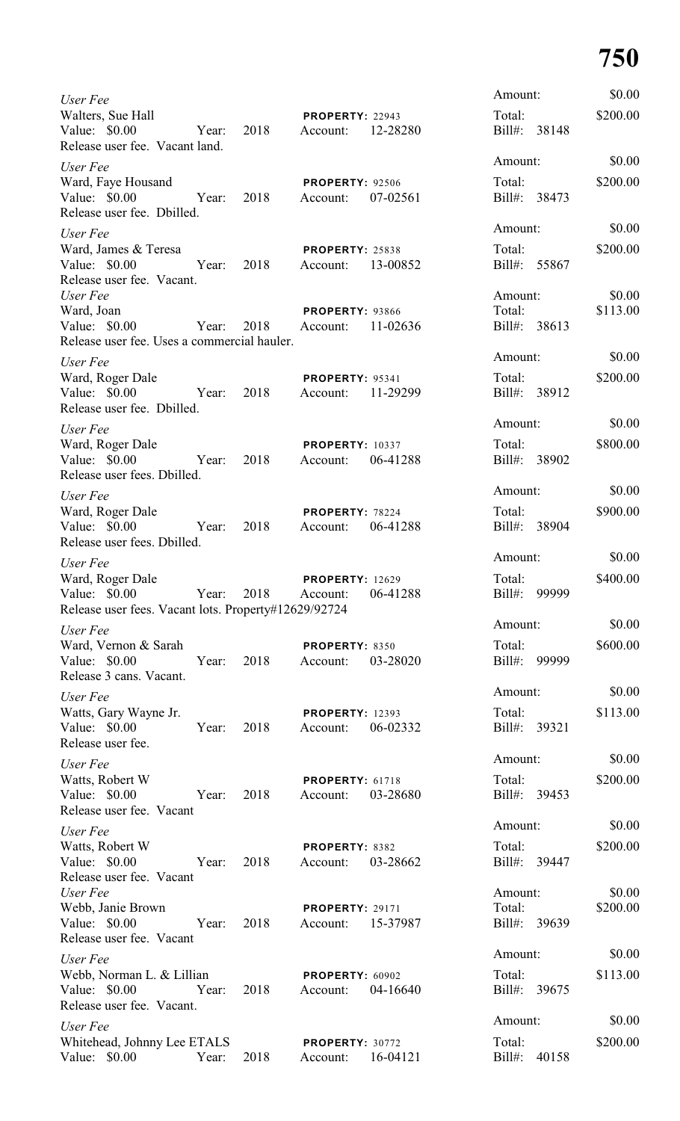| User Fee                                                                                  |       |      |                                    |          | Amount:             |              | \$0.00             |
|-------------------------------------------------------------------------------------------|-------|------|------------------------------------|----------|---------------------|--------------|--------------------|
| Walters, Sue Hall<br>Value: \$0.00<br>Release user fee. Vacant land.                      | Year: | 2018 | <b>PROPERTY: 22943</b><br>Account: | 12-28280 | Total:<br>$Bill#$ : | 38148        | \$200.00           |
| User Fee                                                                                  |       |      |                                    |          | Amount:             |              | \$0.00             |
| Ward, Faye Housand<br>Value: \$0.00<br>Release user fee. Dbilled.                         | Year: | 2018 | <b>PROPERTY: 92506</b><br>Account: | 07-02561 | Total:              | Bill#: 38473 | \$200.00           |
| User Fee                                                                                  |       |      |                                    |          | Amount:             |              | \$0.00             |
| Ward, James & Teresa<br>Value: \$0.00<br>Release user fee. Vacant.                        | Year: | 2018 | <b>PROPERTY: 25838</b><br>Account: | 13-00852 | Total:<br>Bill#:    | 55867        | \$200.00           |
| User Fee<br>Ward, Joan<br>Value: \$0.00<br>Release user fee. Uses a commercial hauler.    | Year: | 2018 | <b>PROPERTY: 93866</b><br>Account: | 11-02636 | Amount:<br>Total:   | Bill#: 38613 | \$0.00<br>\$113.00 |
| User Fee                                                                                  |       |      |                                    |          | Amount:             |              | \$0.00             |
| Ward, Roger Dale<br>Value: \$0.00<br>Release user fee. Dbilled.                           | Year: | 2018 | <b>PROPERTY: 95341</b><br>Account: | 11-29299 | Total:              | Bill#: 38912 | \$200.00           |
| User Fee                                                                                  |       |      |                                    |          | Amount:             |              | \$0.00             |
| Ward, Roger Dale<br>Value: \$0.00<br>Release user fees. Dbilled.                          | Year: | 2018 | <b>PROPERTY: 10337</b><br>Account: | 06-41288 | Total:<br>$Bill#$ : | 38902        | \$800.00           |
| User Fee                                                                                  |       |      |                                    |          | Amount:             |              | \$0.00             |
| Ward, Roger Dale<br>Value: \$0.00<br>Release user fees. Dbilled.                          | Year: | 2018 | PROPERTY: 78224<br>Account:        | 06-41288 | Total:<br>Bill#:    | 38904        | \$900.00           |
| User Fee                                                                                  |       |      |                                    |          | Amount:             |              | \$0.00             |
| Ward, Roger Dale<br>Value: \$0.00<br>Release user fees. Vacant lots. Property#12629/92724 | Year: | 2018 | <b>PROPERTY: 12629</b><br>Account: | 06-41288 | Total:<br>$Bill#$ : | 99999        | \$400.00           |
| User Fee                                                                                  |       |      |                                    |          | Amount:             |              | \$0.00             |
| Ward, Vernon & Sarah<br>Value: \$0.00<br>Release 3 cans. Vacant.                          | Year: | 2018 | PROPERTY: 8350<br>Account:         | 03-28020 | Total:<br>$Bill#$ : | 99999        | \$600.00           |
| User Fee                                                                                  |       |      |                                    |          | Amount:             |              | \$0.00             |
| Watts, Gary Wayne Jr.<br>Value: \$0.00<br>Release user fee.                               | Year: | 2018 | <b>PROPERTY: 12393</b><br>Account: | 06-02332 | Total:              | Bill#: 39321 | \$113.00           |
| User Fee                                                                                  |       |      |                                    |          | Amount:             |              | \$0.00             |
| Watts, Robert W<br>Value: \$0.00<br>Release user fee. Vacant                              | Year: | 2018 | PROPERTY: 61718<br>Account:        | 03-28680 | Total:              | Bill#: 39453 | \$200.00           |
| User Fee                                                                                  |       |      |                                    |          | Amount:             |              | \$0.00             |
| Watts, Robert W<br>Value: \$0.00<br>Release user fee. Vacant                              | Year: | 2018 | PROPERTY: 8382<br>Account:         | 03-28662 | Total:              | Bill#: 39447 | \$200.00           |
| User Fee                                                                                  |       |      |                                    |          | Amount:             |              | \$0.00             |
| Webb, Janie Brown<br>Value: \$0.00<br>Release user fee. Vacant                            | Year: | 2018 | <b>PROPERTY: 29171</b><br>Account: | 15-37987 | Total:<br>Bill#:    | 39639        | \$200.00           |
| User Fee                                                                                  |       |      |                                    |          | Amount:             |              | \$0.00             |
| Webb, Norman L. & Lillian<br>Value: \$0.00<br>Release user fee. Vacant.                   | Year: | 2018 | PROPERTY: 60902<br>Account:        | 04-16640 | Total:<br>$Bill#$ : | 39675        | \$113.00           |
| User Fee                                                                                  |       |      |                                    |          | Amount:             |              | \$0.00             |
| Whitehead, Johnny Lee ETALS<br>Value: \$0.00                                              | Year: | 2018 | PROPERTY: 30772<br>Account:        | 16-04121 | Total:<br>$Bill#$ : | 40158        | \$200.00           |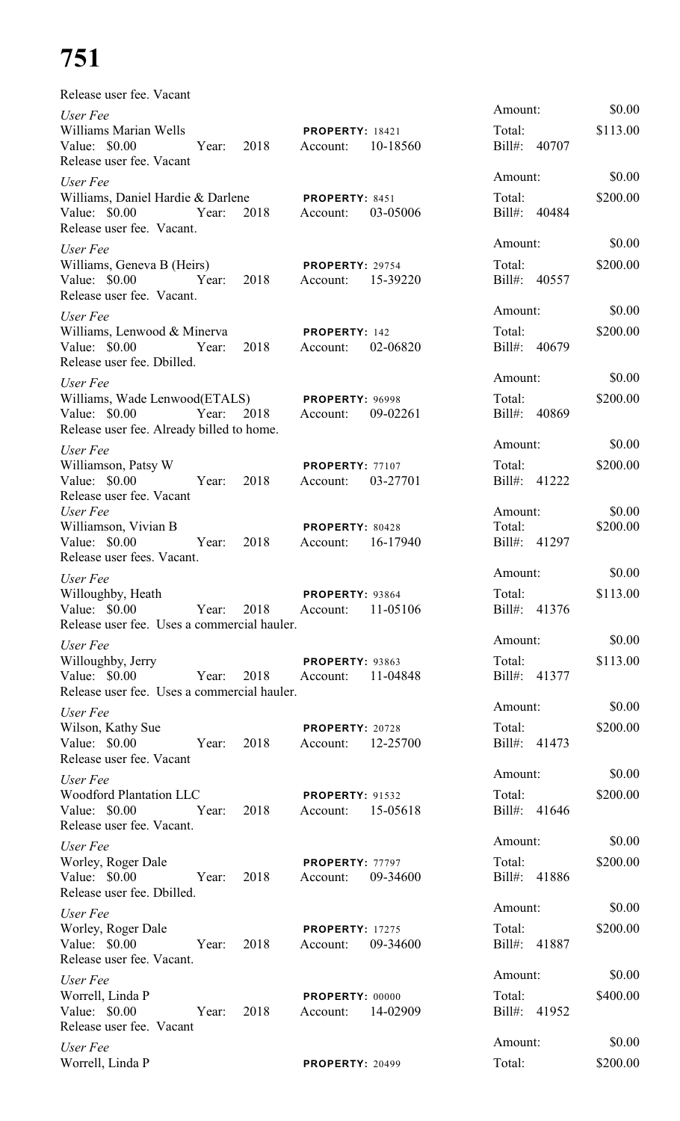| Release user fee. Vacant                                                                             |      |                                             |          |                        |          |
|------------------------------------------------------------------------------------------------------|------|---------------------------------------------|----------|------------------------|----------|
| User Fee                                                                                             |      |                                             |          | Amount:                | \$0.00   |
| Williams Marian Wells<br>Value: \$0.00<br>Year: 2018                                                 |      | <b>PROPERTY: 18421</b><br>Account:          | 10-18560 | Total:<br>Bill#: 40707 | \$113.00 |
| Release user fee. Vacant                                                                             |      |                                             |          |                        | \$0.00   |
| User Fee                                                                                             |      |                                             |          | Amount:                |          |
| Williams, Daniel Hardie & Darlene PROPERTY: 8451<br>Value: \$0.00 Year:<br>Release user fee. Vacant. |      | 2018 Account:                               | 03-05006 | Total:<br>Bill#: 40484 | \$200.00 |
| User Fee                                                                                             |      |                                             |          | Amount:                | \$0.00   |
| Williams, Geneva B (Heirs)<br>Value: \$0.00 Year: 2018<br>Release user fee. Vacant.                  |      | <b>PROPERTY: 29754</b><br>Account: 15-39220 |          | Total:<br>Bill#: 40557 | \$200.00 |
| User Fee                                                                                             |      |                                             |          | Amount:                | \$0.00   |
| Williams, Lenwood & Minerva<br>Value: \$0.00 Year:<br>Release user fee. Dbilled.                     | 2018 | <b>PROPERTY: 142</b><br>Account:            | 02-06820 | Total:<br>Bill#: 40679 | \$200.00 |
| User Fee                                                                                             |      |                                             |          | Amount:                | \$0.00   |
| Williams, Wade Lenwood(ETALS) PROPERTY: 96998<br>Value: \$0.00 Year:                                 | 2018 | Account:                                    | 09-02261 | Total:<br>Bill#: 40869 | \$200.00 |
| Release user fee. Already billed to home.                                                            |      |                                             |          |                        |          |
| User Fee                                                                                             |      |                                             |          | Amount:                | \$0.00   |
| Williamson, Patsy W<br>Value: \$0.00<br>Year:<br>Release user fee. Vacant                            | 2018 | PROPERTY: 77107<br>Account: 03-27701        |          | Total:<br>Bill#: 41222 | \$200.00 |
| User Fee                                                                                             |      |                                             |          | Amount:                | \$0.00   |
| Williamson, Vivian B                                                                                 |      | PROPERTY: 80428                             |          | Total:                 | \$200.00 |
| Value: \$0.00<br>Year:                                                                               | 2018 | Account:                                    | 16-17940 | Bill#: 41297           |          |
| Release user fees. Vacant.                                                                           |      |                                             |          | Amount:                | \$0.00   |
| User Fee<br>Willoughby, Heath                                                                        |      | PROPERTY: 93864                             |          | Total:                 | \$113.00 |
| Value: $$0.00$<br>Year: 2018<br>Release user fee. Uses a commercial hauler.                          |      | Account:                                    | 11-05106 | Bill#: 41376           |          |
| User Fee                                                                                             |      |                                             |          | Amount:                | \$0.00   |
| Willoughby, Jerry                                                                                    |      | PROPERTY: 93863                             |          | Total:                 | \$113.00 |
| Value: \$0.00<br>Year:<br>Release user fee. Uses a commercial hauler.                                | 2018 | Account:                                    | 11-04848 | Bill#: 41377           |          |
| User Fee                                                                                             |      |                                             |          | Amount:                | \$0.00   |
| Wilson, Kathy Sue<br>Value: \$0.00 Year:<br>Release user fee. Vacant                                 | 2018 | PROPERTY: 20728<br>Account:                 | 12-25700 | Total:<br>Bill#: 41473 | \$200.00 |
|                                                                                                      |      |                                             |          | Amount:                | \$0.00   |
| User Fee<br><b>Woodford Plantation LLC</b>                                                           |      | <b>PROPERTY: 91532</b>                      |          | Total:                 | \$200.00 |
| Value: \$0.00 Year:<br>Release user fee. Vacant.                                                     | 2018 | Account:                                    | 15-05618 | Bill#: 41646           |          |
| User Fee                                                                                             |      |                                             |          | Amount:                | \$0.00   |
| Worley, Roger Dale<br>Value: \$0.00 Year:                                                            | 2018 | PROPERTY: 77797<br>Account:                 | 09-34600 | Total:<br>Bill#: 41886 | \$200.00 |
| Release user fee. Dbilled.                                                                           |      |                                             |          | Amount:                | \$0.00   |
| User Fee                                                                                             |      |                                             |          |                        |          |
| Worley, Roger Dale<br>Value: \$0.00 Year:<br>Release user fee. Vacant.                               | 2018 | <b>PROPERTY: 17275</b><br>Account:          | 09-34600 | Total:<br>Bill#: 41887 | \$200.00 |
| User Fee                                                                                             |      |                                             |          | Amount:                | \$0.00   |
| Worrell, Linda P<br>Value: \$0.00 Year:<br>Release user fee. Vacant                                  | 2018 | PROPERTY: 00000<br>Account:                 | 14-02909 | Total:<br>Bill#: 41952 | \$400.00 |
| User Fee                                                                                             |      |                                             |          | Amount:                | \$0.00   |
| Worrell, Linda P                                                                                     |      | <b>PROPERTY: 20499</b>                      |          | Total:                 | \$200.00 |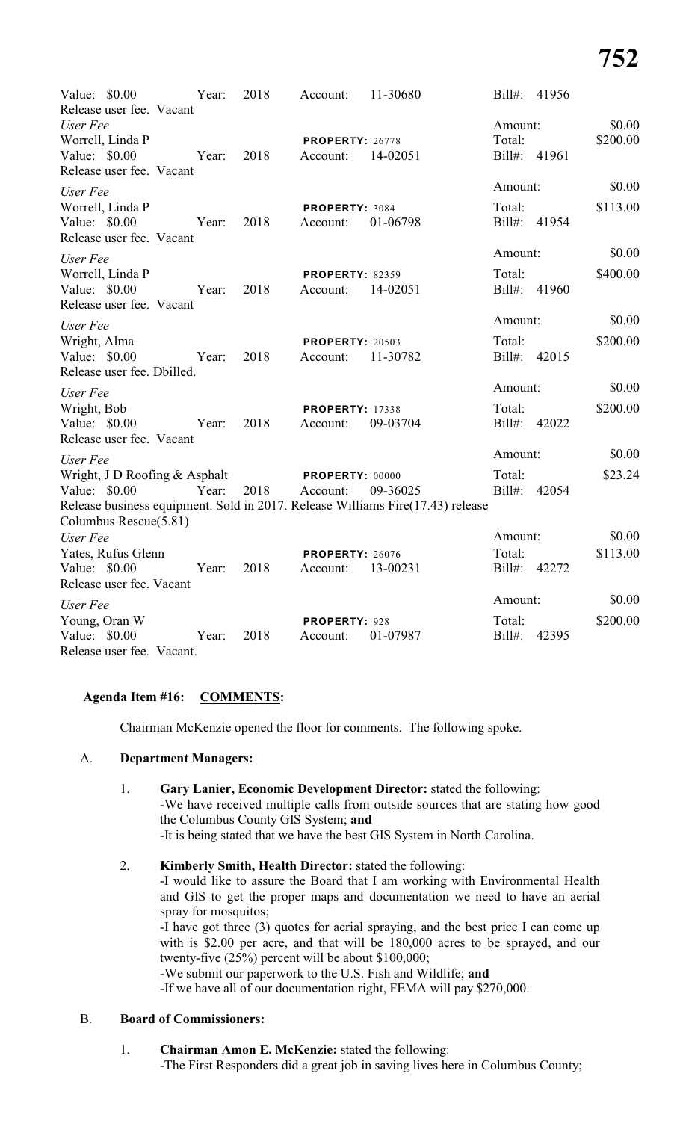| Value: \$0.00<br>Release user fee. Vacant                                 | Year: | 2018 | Account:                           | 11-30680                                                                                   | $Bill#$ :                         | 41956 |                    |
|---------------------------------------------------------------------------|-------|------|------------------------------------|--------------------------------------------------------------------------------------------|-----------------------------------|-------|--------------------|
| User Fee<br>Worrell, Linda P<br>Value: \$0.00<br>Release user fee. Vacant | Year: | 2018 | PROPERTY: 26778<br>Account:        | 14-02051                                                                                   | Amount:<br>Total:<br>Bill#: 41961 |       | \$0.00<br>\$200.00 |
| User Fee                                                                  |       |      |                                    |                                                                                            | Amount:                           |       | \$0.00             |
| Worrell, Linda P<br>Value: \$0.00<br>Release user fee. Vacant             | Year: | 2018 | PROPERTY: 3084<br>Account:         | 01-06798                                                                                   | Total:<br>Bill#: 41954            |       | \$113.00           |
| User Fee                                                                  |       |      |                                    |                                                                                            | Amount:                           |       | \$0.00             |
| Worrell, Linda P<br>Value: \$0.00<br>Release user fee. Vacant             | Year: | 2018 | <b>PROPERTY: 82359</b><br>Account: | 14-02051                                                                                   | Total:<br>Bill#: 41960            |       | \$400.00           |
| User Fee                                                                  |       |      |                                    |                                                                                            | Amount:                           |       | \$0.00             |
| Wright, Alma<br>Value: \$0.00<br>Release user fee. Dbilled.               | Year: | 2018 | <b>PROPERTY: 20503</b><br>Account: | 11-30782                                                                                   | Total:<br>Bill#: 42015            |       | \$200.00           |
| User Fee                                                                  |       |      |                                    |                                                                                            | Amount:                           |       | \$0.00             |
| Wright, Bob<br>Value: \$0.00<br>Release user fee. Vacant                  | Year: | 2018 | <b>PROPERTY: 17338</b><br>Account: | 09-03704                                                                                   | Total:<br>Bill#: 42022            |       | \$200.00           |
| User Fee                                                                  |       |      |                                    |                                                                                            | Amount:                           |       | \$0.00             |
| Wright, J D Roofing & Asphalt<br>Value: \$0.00<br>Columbus Rescue(5.81)   | Year: | 2018 | PROPERTY: 00000<br>Account:        | 09-36025<br>Release business equipment. Sold in 2017. Release Williams Fire(17.43) release | Total:<br>Bill#: 42054            |       | \$23.24            |
| User Fee                                                                  |       |      |                                    |                                                                                            | Amount:                           |       | \$0.00             |
| Yates, Rufus Glenn                                                        |       |      | <b>PROPERTY: 26076</b>             |                                                                                            | Total:                            |       | \$113.00           |
| Value: \$0.00<br>Release user fee. Vacant                                 | Year: | 2018 | Account:                           | 13-00231                                                                                   | Bill#: 42272                      |       |                    |
| User Fee                                                                  |       |      |                                    |                                                                                            | Amount:                           |       | \$0.00             |
| Young, Oran W<br>Value: \$0.00<br>Release user fee. Vacant.               | Year: | 2018 | PROPERTY: 928<br>Account:          | 01-07987                                                                                   | Total:<br>Bill#:                  | 42395 | \$200.00           |

# **Agenda Item #16: COMMENTS:**

Chairman McKenzie opened the floor for comments. The following spoke.

# A. **Department Managers:**

- 1. **Gary Lanier, Economic Development Director:** stated the following: -We have received multiple calls from outside sources that are stating how good the Columbus County GIS System; **and** -It is being stated that we have the best GIS System in North Carolina.
- 2. **Kimberly Smith, Health Director:** stated the following:

-I would like to assure the Board that I am working with Environmental Health and GIS to get the proper maps and documentation we need to have an aerial spray for mosquitos;

-I have got three (3) quotes for aerial spraying, and the best price I can come up with is \$2.00 per acre, and that will be 180,000 acres to be sprayed, and our twenty-five (25%) percent will be about \$100,000;

-We submit our paperwork to the U.S. Fish and Wildlife; **and**

-If we have all of our documentation right, FEMA will pay \$270,000.

# B. **Board of Commissioners:**

1. **Chairman Amon E. McKenzie:** stated the following: -The First Responders did a great job in saving lives here in Columbus County;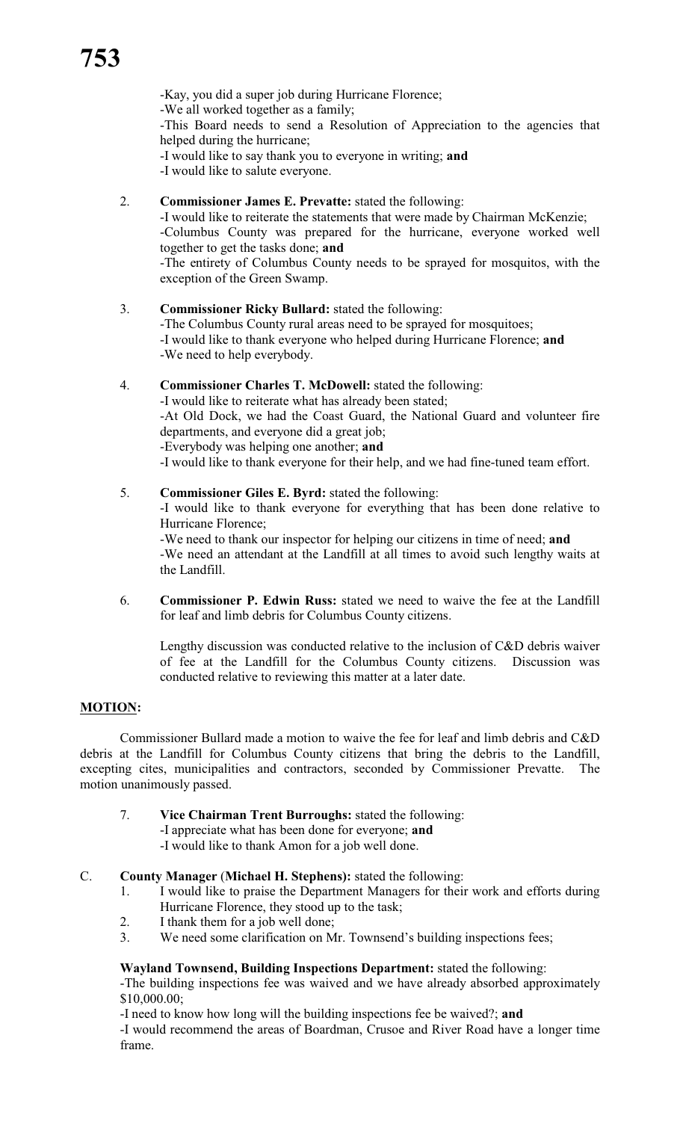-Kay, you did a super job during Hurricane Florence; -We all worked together as a family; -This Board needs to send a Resolution of Appreciation to the agencies that helped during the hurricane; -I would like to say thank you to everyone in writing; **and** -I would like to salute everyone.

2. **Commissioner James E. Prevatte:** stated the following:

-I would like to reiterate the statements that were made by Chairman McKenzie; -Columbus County was prepared for the hurricane, everyone worked well together to get the tasks done; **and** -The entirety of Columbus County needs to be sprayed for mosquitos, with the exception of the Green Swamp.

- 3. **Commissioner Ricky Bullard:** stated the following: -The Columbus County rural areas need to be sprayed for mosquitoes; -I would like to thank everyone who helped during Hurricane Florence; **and** -We need to help everybody.
- 4. **Commissioner Charles T. McDowell:** stated the following: -I would like to reiterate what has already been stated; -At Old Dock, we had the Coast Guard, the National Guard and volunteer fire departments, and everyone did a great job; -Everybody was helping one another; **and**
	- -I would like to thank everyone for their help, and we had fine-tuned team effort.
- 5. **Commissioner Giles E. Byrd:** stated the following:

-I would like to thank everyone for everything that has been done relative to Hurricane Florence;

-We need to thank our inspector for helping our citizens in time of need; **and** -We need an attendant at the Landfill at all times to avoid such lengthy waits at the Landfill.

6. **Commissioner P. Edwin Russ:** stated we need to waive the fee at the Landfill for leaf and limb debris for Columbus County citizens.

Lengthy discussion was conducted relative to the inclusion of C&D debris waiver of fee at the Landfill for the Columbus County citizens. Discussion was conducted relative to reviewing this matter at a later date.

# **MOTION:**

Commissioner Bullard made a motion to waive the fee for leaf and limb debris and C&D debris at the Landfill for Columbus County citizens that bring the debris to the Landfill, excepting cites, municipalities and contractors, seconded by Commissioner Prevatte. The motion unanimously passed.

7. **Vice Chairman Trent Burroughs:** stated the following: -I appreciate what has been done for everyone; **and** -I would like to thank Amon for a job well done.

# C. **County Manager** (**Michael H. Stephens):** stated the following:

- 1. I would like to praise the Department Managers for their work and efforts during Hurricane Florence, they stood up to the task;
- 2. I thank them for a job well done;
- 3. We need some clarification on Mr. Townsend's building inspections fees;

# **Wayland Townsend, Building Inspections Department:** stated the following:

-The building inspections fee was waived and we have already absorbed approximately \$10,000.00;

-I need to know how long will the building inspections fee be waived?; **and**

-I would recommend the areas of Boardman, Crusoe and River Road have a longer time frame.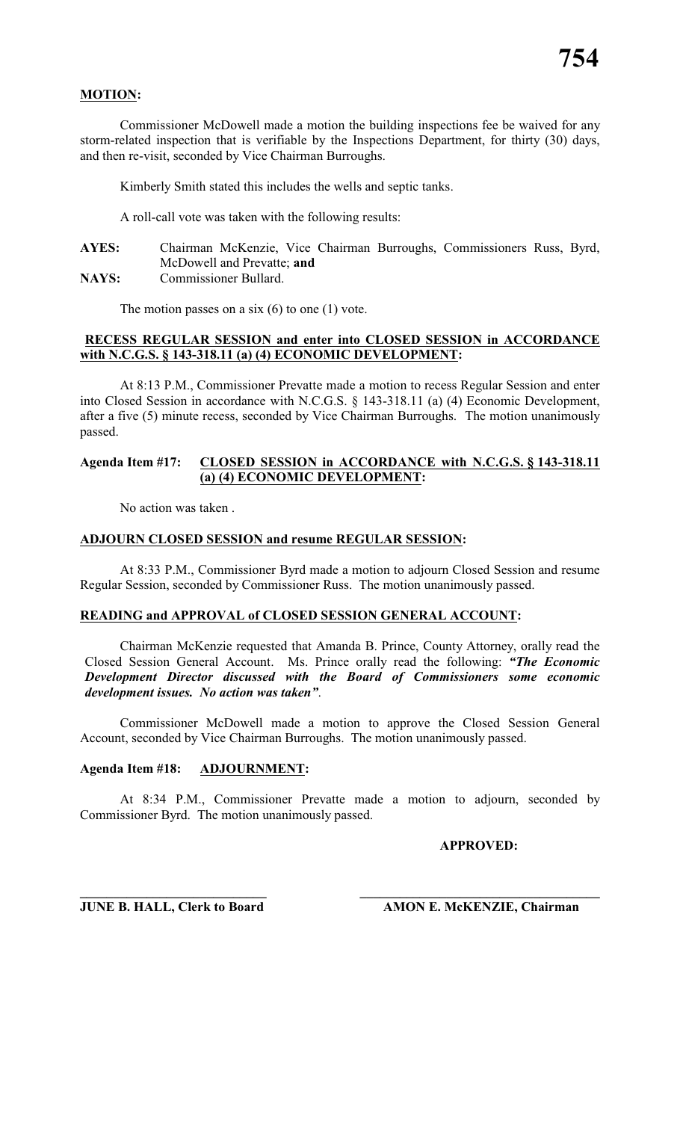# **MOTION:**

Commissioner McDowell made a motion the building inspections fee be waived for any storm-related inspection that is verifiable by the Inspections Department, for thirty (30) days, and then re-visit, seconded by Vice Chairman Burroughs.

Kimberly Smith stated this includes the wells and septic tanks.

A roll-call vote was taken with the following results:

**AYES:** Chairman McKenzie, Vice Chairman Burroughs, Commissioners Russ, Byrd, McDowell and Prevatte; **and**

**NAYS:** Commissioner Bullard.

The motion passes on a six  $(6)$  to one  $(1)$  vote.

# **RECESS REGULAR SESSION and enter into CLOSED SESSION in ACCORDANCE with N.C.G.S. § 143-318.11 (a) (4) ECONOMIC DEVELOPMENT:**

At 8:13 P.M., Commissioner Prevatte made a motion to recess Regular Session and enter into Closed Session in accordance with N.C.G.S. § 143-318.11 (a) (4) Economic Development, after a five (5) minute recess, seconded by Vice Chairman Burroughs. The motion unanimously passed.

### **Agenda Item #17: CLOSED SESSION in ACCORDANCE with N.C.G.S. § 143-318.11 (a) (4) ECONOMIC DEVELOPMENT:**

No action was taken .

### **ADJOURN CLOSED SESSION and resume REGULAR SESSION:**

At 8:33 P.M., Commissioner Byrd made a motion to adjourn Closed Session and resume Regular Session, seconded by Commissioner Russ. The motion unanimously passed.

# **READING and APPROVAL of CLOSED SESSION GENERAL ACCOUNT:**

Chairman McKenzie requested that Amanda B. Prince, County Attorney, orally read the Closed Session General Account. Ms. Prince orally read the following: *"The Economic Development Director discussed with the Board of Commissioners some economic development issues. No action was taken"*.

Commissioner McDowell made a motion to approve the Closed Session General Account, seconded by Vice Chairman Burroughs. The motion unanimously passed.

### **Agenda Item #18: ADJOURNMENT:**

At 8:34 P.M., Commissioner Prevatte made a motion to adjourn, seconded by Commissioner Byrd. The motion unanimously passed.

**\_\_\_\_\_\_\_\_\_\_\_\_\_\_\_\_\_\_\_\_\_\_\_\_\_\_\_\_ \_\_\_\_\_\_\_\_\_\_\_\_\_\_\_\_\_\_\_\_\_\_\_\_\_\_\_\_\_\_\_\_\_\_\_\_**

# **APPROVED:**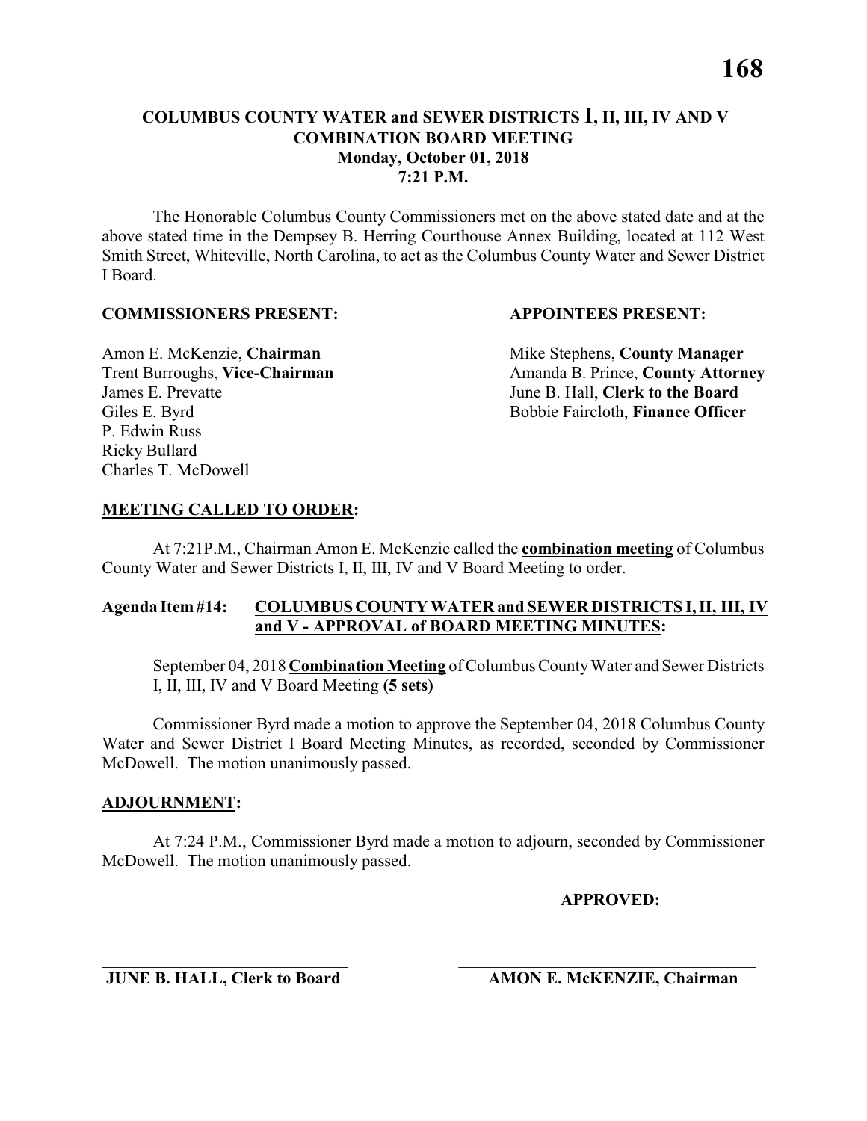# **COLUMBUS COUNTY WATER and SEWER DISTRICTS I, II, III, IV AND V COMBINATION BOARD MEETING Monday, October 01, 2018 7:21 P.M.**

The Honorable Columbus County Commissioners met on the above stated date and at the above stated time in the Dempsey B. Herring Courthouse Annex Building, located at 112 West Smith Street, Whiteville, North Carolina, to act as the Columbus County Water and Sewer District I Board.

# **COMMISSIONERS PRESENT: APPOINTEES PRESENT:**

James E. Prevatte June B. Hall, **Clerk to the Board** P. Edwin Russ Ricky Bullard Charles T. McDowell

Amon E. McKenzie, **Chairman** Mike Stephens, **County Manager** Trent Burroughs, Vice-Chairman Amanda B. Prince, County Attorney Giles E. Byrd **Bobbie Faircloth, Finance Officer** 

# **MEETING CALLED TO ORDER:**

At 7:21P.M., Chairman Amon E. McKenzie called the **combination meeting** of Columbus County Water and Sewer Districts I, II, III, IV and V Board Meeting to order.

# **Agenda Item #14: COLUMBUS COUNTY WATER and SEWER DISTRICTS I, II, III, IV and V - APPROVAL of BOARD MEETING MINUTES:**

September 04, 2018 **Combination Meeting** of Columbus County Water and Sewer Districts I, II, III, IV and V Board Meeting **(5 sets)**

Commissioner Byrd made a motion to approve the September 04, 2018 Columbus County Water and Sewer District I Board Meeting Minutes, as recorded, seconded by Commissioner McDowell. The motion unanimously passed.

# **ADJOURNMENT:**

At 7:24 P.M., Commissioner Byrd made a motion to adjourn, seconded by Commissioner McDowell. The motion unanimously passed.

\_\_\_\_\_\_\_\_\_\_\_\_\_\_\_\_\_\_\_\_\_\_\_\_\_\_\_\_\_ \_\_\_\_\_\_\_\_\_\_\_\_\_\_\_\_\_\_\_\_\_\_\_\_\_\_\_\_\_\_\_\_\_\_\_

# **APPROVED:**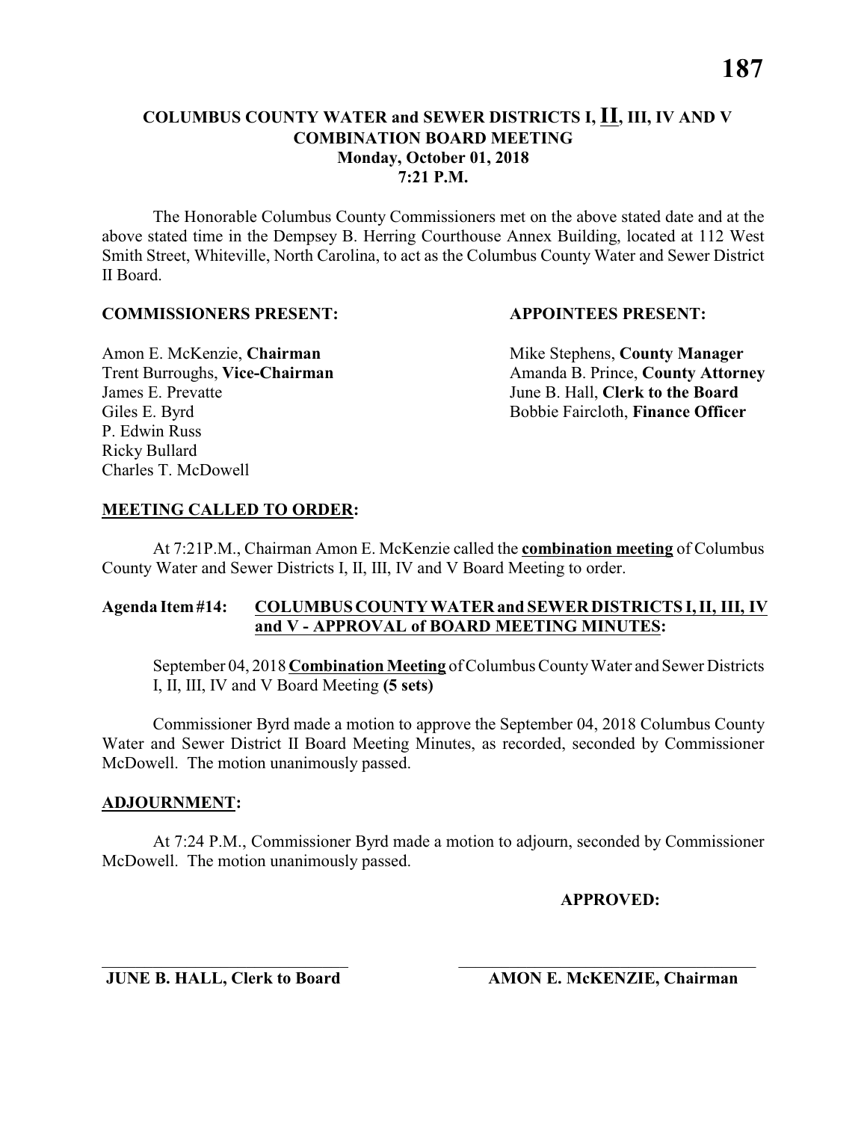The Honorable Columbus County Commissioners met on the above stated date and at the above stated time in the Dempsey B. Herring Courthouse Annex Building, located at 112 West Smith Street, Whiteville, North Carolina, to act as the Columbus County Water and Sewer District II Board.

### **COMMISSIONERS PRESENT: APPOINTEES PRESENT:**

James E. Prevatte June B. Hall, **Clerk to the Board** P. Edwin Russ Ricky Bullard Charles T. McDowell

Amon E. McKenzie, **Chairman** Mike Stephens, **County Manager** Trent Burroughs, Vice-Chairman Amanda B. Prince, County Attorney Giles E. Byrd **Bobbie Faircloth, Finance Officer** 

### **MEETING CALLED TO ORDER:**

At 7:21P.M., Chairman Amon E. McKenzie called the **combination meeting** of Columbus County Water and Sewer Districts I, II, III, IV and V Board Meeting to order.

### **Agenda Item #14: COLUMBUS COUNTY WATER and SEWER DISTRICTS I, II, III, IV and V - APPROVAL of BOARD MEETING MINUTES:**

September 04, 2018 **Combination Meeting** of Columbus County Water and Sewer Districts I, II, III, IV and V Board Meeting **(5 sets)**

Commissioner Byrd made a motion to approve the September 04, 2018 Columbus County Water and Sewer District II Board Meeting Minutes, as recorded, seconded by Commissioner McDowell. The motion unanimously passed.

### **ADJOURNMENT:**

At 7:24 P.M., Commissioner Byrd made a motion to adjourn, seconded by Commissioner McDowell. The motion unanimously passed.

\_\_\_\_\_\_\_\_\_\_\_\_\_\_\_\_\_\_\_\_\_\_\_\_\_\_\_\_\_ \_\_\_\_\_\_\_\_\_\_\_\_\_\_\_\_\_\_\_\_\_\_\_\_\_\_\_\_\_\_\_\_\_\_\_

**APPROVED:**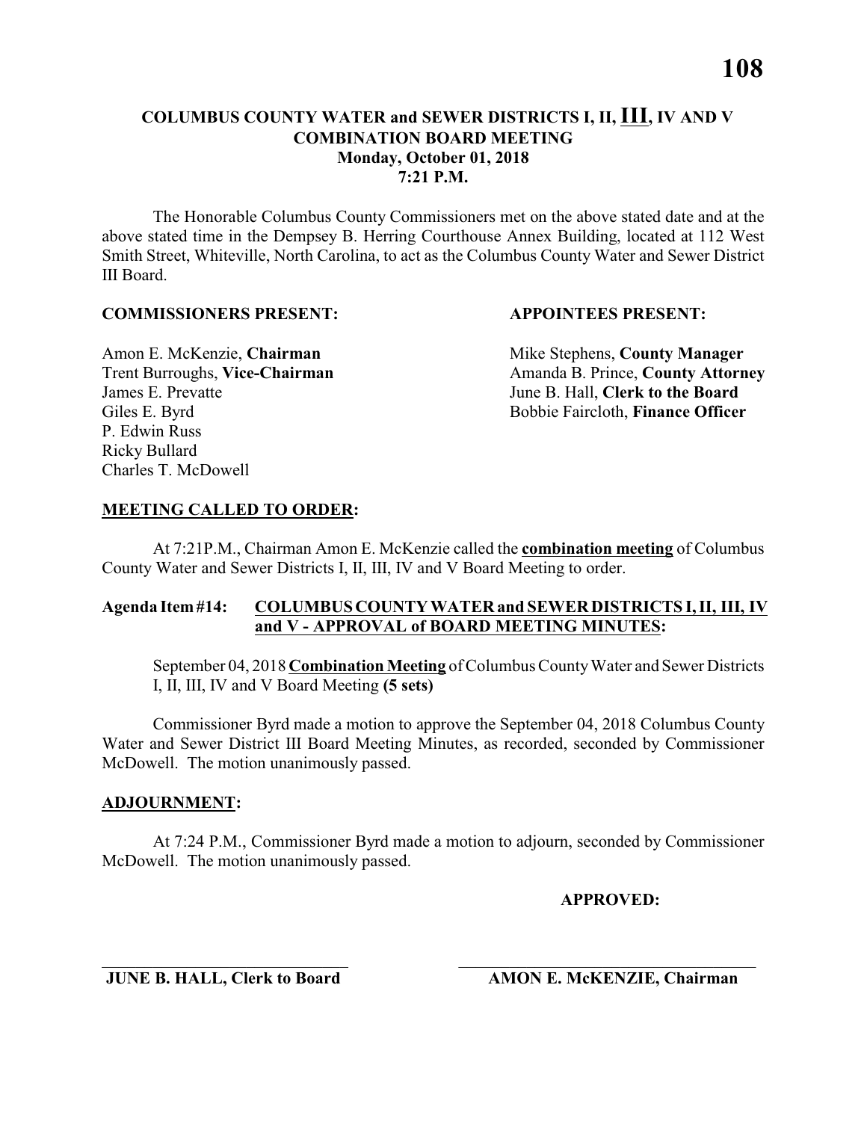# **COLUMBUS COUNTY WATER and SEWER DISTRICTS I, II, III, IV AND V COMBINATION BOARD MEETING Monday, October 01, 2018 7:21 P.M.**

The Honorable Columbus County Commissioners met on the above stated date and at the above stated time in the Dempsey B. Herring Courthouse Annex Building, located at 112 West Smith Street, Whiteville, North Carolina, to act as the Columbus County Water and Sewer District III Board.

### **COMMISSIONERS PRESENT: APPOINTEES PRESENT:**

James E. Prevatte June B. Hall, **Clerk to the Board** P. Edwin Russ Ricky Bullard Charles T. McDowell

Amon E. McKenzie, **Chairman** Mike Stephens, **County Manager** Trent Burroughs, Vice-Chairman Amanda B. Prince, County Attorney Giles E. Byrd **Bobbie Faircloth, Finance Officer** 

# **MEETING CALLED TO ORDER:**

At 7:21P.M., Chairman Amon E. McKenzie called the **combination meeting** of Columbus County Water and Sewer Districts I, II, III, IV and V Board Meeting to order.

# **Agenda Item #14: COLUMBUS COUNTY WATER and SEWER DISTRICTS I, II, III, IV and V - APPROVAL of BOARD MEETING MINUTES:**

September 04, 2018 **Combination Meeting** of Columbus County Water and Sewer Districts I, II, III, IV and V Board Meeting **(5 sets)**

Commissioner Byrd made a motion to approve the September 04, 2018 Columbus County Water and Sewer District III Board Meeting Minutes, as recorded, seconded by Commissioner McDowell. The motion unanimously passed.

# **ADJOURNMENT:**

At 7:24 P.M., Commissioner Byrd made a motion to adjourn, seconded by Commissioner McDowell. The motion unanimously passed.

\_\_\_\_\_\_\_\_\_\_\_\_\_\_\_\_\_\_\_\_\_\_\_\_\_\_\_\_\_ \_\_\_\_\_\_\_\_\_\_\_\_\_\_\_\_\_\_\_\_\_\_\_\_\_\_\_\_\_\_\_\_\_\_\_

**APPROVED:**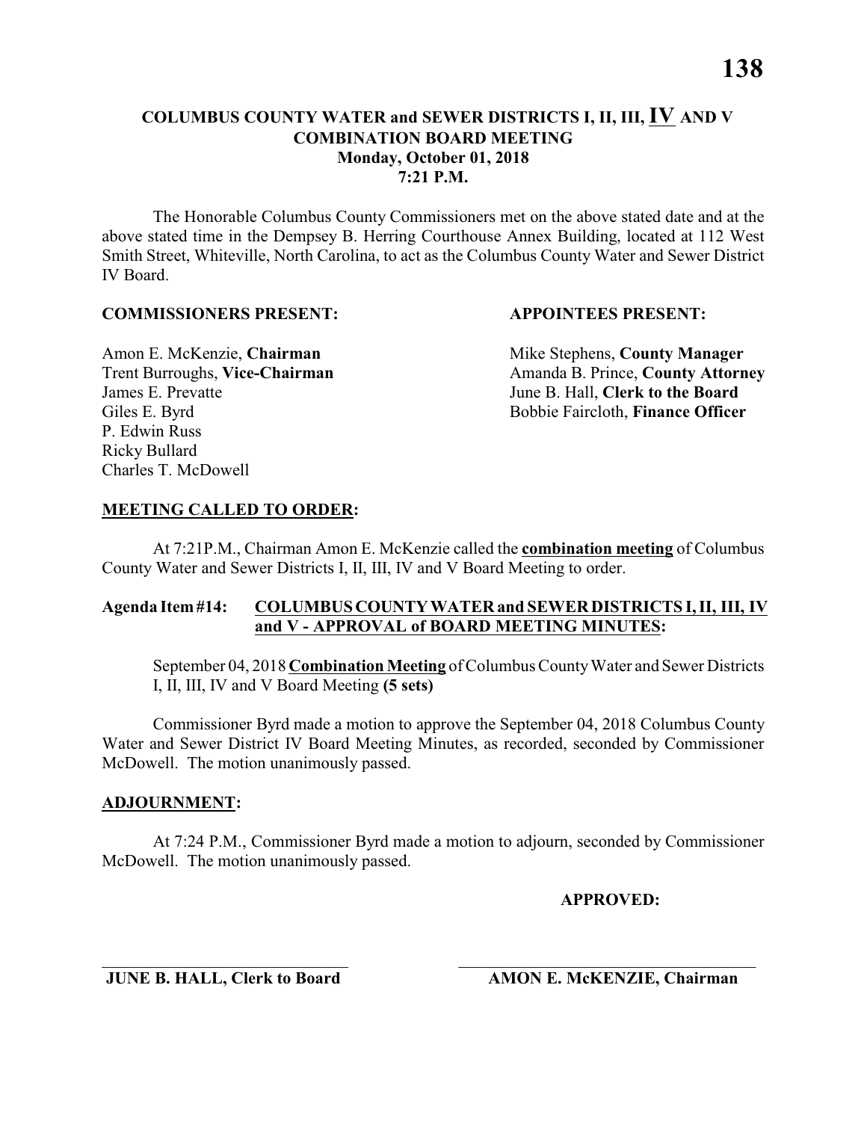The Honorable Columbus County Commissioners met on the above stated date and at the above stated time in the Dempsey B. Herring Courthouse Annex Building, located at 112 West Smith Street, Whiteville, North Carolina, to act as the Columbus County Water and Sewer District IV Board.

### **COMMISSIONERS PRESENT: APPOINTEES PRESENT:**

James E. Prevatte June B. Hall, **Clerk to the Board** P. Edwin Russ Ricky Bullard Charles T. McDowell

Amon E. McKenzie, **Chairman** Mike Stephens, **County Manager** Trent Burroughs, Vice-Chairman Amanda B. Prince, County Attorney Giles E. Byrd **Bobbie Faircloth, Finance Officer** 

### **MEETING CALLED TO ORDER:**

At 7:21P.M., Chairman Amon E. McKenzie called the **combination meeting** of Columbus County Water and Sewer Districts I, II, III, IV and V Board Meeting to order.

### **Agenda Item #14: COLUMBUS COUNTY WATER and SEWER DISTRICTS I, II, III, IV and V - APPROVAL of BOARD MEETING MINUTES:**

September 04, 2018 **Combination Meeting** of Columbus County Water and Sewer Districts I, II, III, IV and V Board Meeting **(5 sets)**

Commissioner Byrd made a motion to approve the September 04, 2018 Columbus County Water and Sewer District IV Board Meeting Minutes, as recorded, seconded by Commissioner McDowell. The motion unanimously passed.

### **ADJOURNMENT:**

At 7:24 P.M., Commissioner Byrd made a motion to adjourn, seconded by Commissioner McDowell. The motion unanimously passed.

\_\_\_\_\_\_\_\_\_\_\_\_\_\_\_\_\_\_\_\_\_\_\_\_\_\_\_\_\_ \_\_\_\_\_\_\_\_\_\_\_\_\_\_\_\_\_\_\_\_\_\_\_\_\_\_\_\_\_\_\_\_\_\_\_

**APPROVED:**